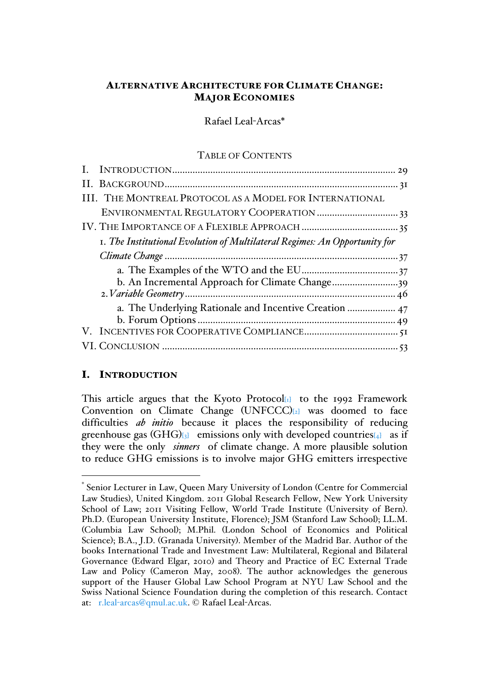# ALTERNATIVE ARCHITECTURE FOR CLIMATE CHANGE: MAJOR ECONOMIES

Rafael Leal-Arcas\*

# TABLE OF CONTENTS

| III. THE MONTREAL PROTOCOL AS A MODEL FOR INTERNATIONAL                    |  |
|----------------------------------------------------------------------------|--|
|                                                                            |  |
|                                                                            |  |
| I. The Institutional Evolution of Multilateral Regimes: An Opportunity for |  |
|                                                                            |  |
| b. An Incremental Approach for Climate Change39                            |  |
| a. The Underlying Rationale and Incentive Creation  47                     |  |
|                                                                            |  |
|                                                                            |  |

# I. INTRODUCTION

This article argues that the Kyoto Protocol $[t]$  to the 1992 Framework Convention on Climate Change (UNFCCC)[2] was doomed to face difficulties *ab initio* because it places the responsibility of reducing greenhouse gas  $(GHG)_{3}$  emissions only with developed countries $[4]$  as if they were the only *sinners* of climate change. A more plausible solution to reduce GHG emissions is to involve major GHG emitters irrespective

<sup>\*</sup> Senior Lecturer in Law, Queen Mary University of London (Centre for Commercial Law Studies), United Kingdom. 2011 Global Research Fellow, New York University School of Law; 2011 Visiting Fellow, World Trade Institute (University of Bern). Ph.D. (European University Institute, Florence); JSM (Stanford Law School); LL.M. (Columbia Law School); M.Phil. (London School of Economics and Political Science); B.A., J.D. (Granada University). Member of the Madrid Bar. Author of the books International Trade and Investment Law: Multilateral, Regional and Bilateral Governance (Edward Elgar, 2010) and Theory and Practice of EC External Trade Law and Policy (Cameron May, 2008). The author acknowledges the generous support of the Hauser Global Law School Program at NYU Law School and the Swiss National Science Foundation during the completion of this research. Contact at: r.leal-arcas@qmul.ac.uk. © Rafael Leal-Arcas.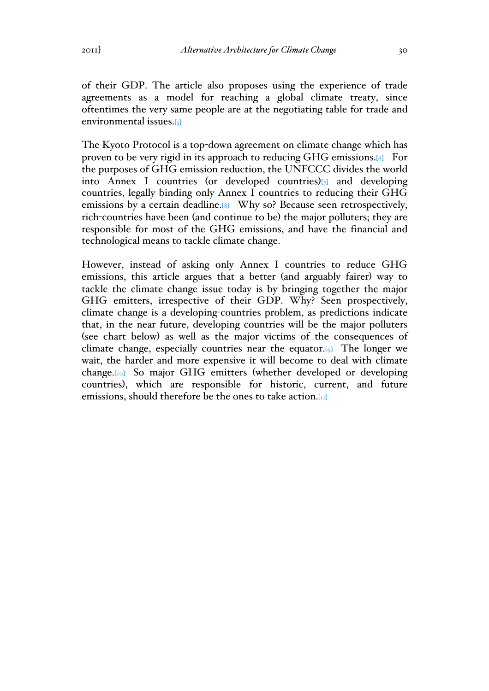of their GDP. The article also proposes using the experience of trade agreements as a model for reaching a global climate treaty, since oftentimes the very same people are at the negotiating table for trade and environmental issues.[5]

The Kyoto Protocol is a top-down agreement on climate change which has proven to be very rigid in its approach to reducing GHG emissions.<sup>[6]</sup> For the purposes of GHG emission reduction, the UNFCCC divides the world into Annex I countries (or developed countries) $\begin{bmatrix} 7 \end{bmatrix}$  and developing countries, legally binding only Annex I countries to reducing their GHG emissions by a certain deadline.<sup>[8]</sup> Why so? Because seen retrospectively, rich-countries have been (and continue to be) the major polluters; they are responsible for most of the GHG emissions, and have the financial and technological means to tackle climate change.

However, instead of asking only Annex I countries to reduce GHG emissions, this article argues that a better (and arguably fairer) way to tackle the climate change issue today is by bringing together the major GHG emitters, irrespective of their GDP. Why? Seen prospectively, climate change is a developing-countries problem, as predictions indicate that, in the near future, developing countries will be the major polluters (see chart below) as well as the major victims of the consequences of climate change, especially countries near the equator.[9] The longer we wait, the harder and more expensive it will become to deal with climate change.[10] So major GHG emitters (whether developed or developing countries), which are responsible for historic, current, and future emissions, should therefore be the ones to take action.[11]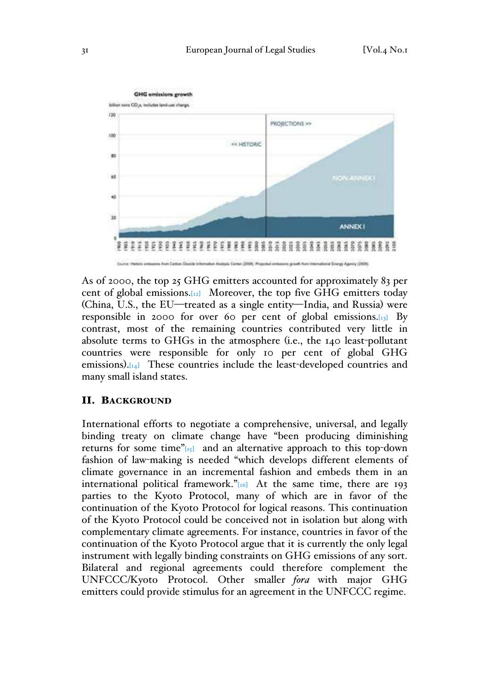

As of 2000, the top 25 GHG emitters accounted for approximately 83 per cent of global emissions. $[12]$  Moreover, the top five GHG emitters today (China, U.S., the EU—treated as a single entity—India, and Russia) were responsible in 2000 for over 60 per cent of global emissions.[13] By contrast, most of the remaining countries contributed very little in absolute terms to GHGs in the atmosphere (i.e., the 140 least-pollutant countries were responsible for only 10 per cent of global GHG emissions).[14] These countries include the least-developed countries and many small island states.

# II. BACKGROUND

International efforts to negotiate a comprehensive, universal, and legally binding treaty on climate change have "been producing diminishing returns for some time" $[x_5]$  and an alternative approach to this top-down fashion of law-making is needed "which develops different elements of climate governance in an incremental fashion and embeds them in an international political framework." $[t_0]$  At the same time, there are 193 parties to the Kyoto Protocol, many of which are in favor of the continuation of the Kyoto Protocol for logical reasons. This continuation of the Kyoto Protocol could be conceived not in isolation but along with complementary climate agreements. For instance, countries in favor of the continuation of the Kyoto Protocol argue that it is currently the only legal instrument with legally binding constraints on GHG emissions of any sort. Bilateral and regional agreements could therefore complement the UNFCCC/Kyoto Protocol. Other smaller *fora* with major GHG emitters could provide stimulus for an agreement in the UNFCCC regime.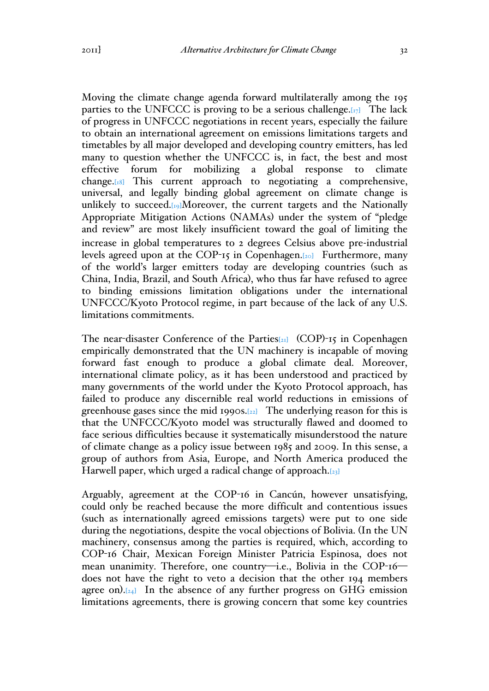Moving the climate change agenda forward multilaterally among the 195 parties to the UNFCCC is proving to be a serious challenge. $[x_7]$  The lack of progress in UNFCCC negotiations in recent years, especially the failure to obtain an international agreement on emissions limitations targets and timetables by all major developed and developing country emitters, has led many to question whether the UNFCCC is, in fact, the best and most effective forum for mobilizing a global response to climate change.[18] This current approach to negotiating a comprehensive, universal, and legally binding global agreement on climate change is unlikely to succeed.<sup>[19]</sup>Moreover, the current targets and the Nationally Appropriate Mitigation Actions (NAMAs) under the system of "pledge and review" are most likely insufficient toward the goal of limiting the increase in global temperatures to 2 degrees Celsius above pre‐industrial levels agreed upon at the COP-15 in Copenhagen.[20] Furthermore, many of the world's larger emitters today are developing countries (such as China, India, Brazil, and South Africa), who thus far have refused to agree to binding emissions limitation obligations under the international UNFCCC/Kyoto Protocol regime, in part because of the lack of any U.S. limitations commitments.

The near-disaster Conference of the Parties[21] (COP)-15 in Copenhagen empirically demonstrated that the UN machinery is incapable of moving forward fast enough to produce a global climate deal. Moreover, international climate policy, as it has been understood and practiced by many governments of the world under the Kyoto Protocol approach, has failed to produce any discernible real world reductions in emissions of greenhouse gases since the mid 1990s. $[22]$  The underlying reason for this is that the UNFCCC/Kyoto model was structurally flawed and doomed to face serious difficulties because it systematically misunderstood the nature of climate change as a policy issue between 1985 and 2009. In this sense, a group of authors from Asia, Europe, and North America produced the Harwell paper, which urged a radical change of approach. $[23]$ 

Arguably, agreement at the COP-16 in Cancún, however unsatisfying, could only be reached because the more difficult and contentious issues (such as internationally agreed emissions targets) were put to one side during the negotiations, despite the vocal objections of Bolivia. (In the UN machinery, consensus among the parties is required, which, according to COP-16 Chair, Mexican Foreign Minister Patricia Espinosa, does not mean unanimity. Therefore, one country—i.e., Bolivia in the COP-16 does not have the right to veto a decision that the other 194 members agree on). $[24]$  In the absence of any further progress on GHG emission limitations agreements, there is growing concern that some key countries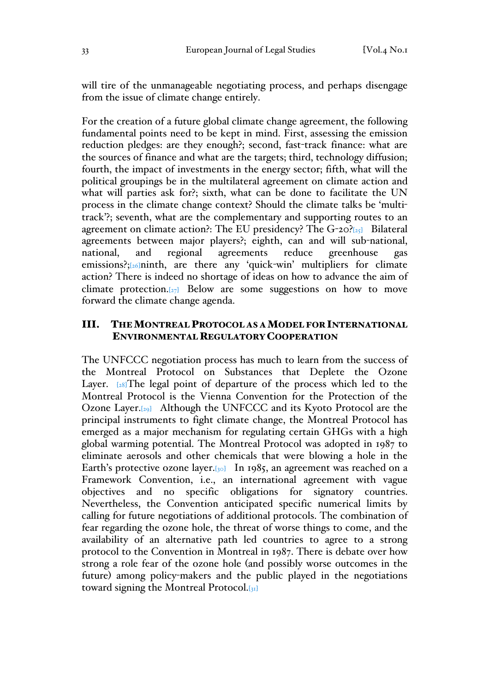will tire of the unmanageable negotiating process, and perhaps disengage from the issue of climate change entirely.

For the creation of a future global climate change agreement, the following fundamental points need to be kept in mind. First, assessing the emission reduction pledges: are they enough?; second, fast-track finance: what are the sources of finance and what are the targets; third, technology diffusion; fourth, the impact of investments in the energy sector; fifth, what will the political groupings be in the multilateral agreement on climate action and what will parties ask for?; sixth, what can be done to facilitate the UN process in the climate change context? Should the climate talks be 'multitrack'?; seventh, what are the complementary and supporting routes to an agreement on climate action?: The EU presidency? The  $G$ -20? $\epsilon_5$ ] Bilateral agreements between major players?; eighth, can and will sub-national, national, and regional agreements reduce greenhouse gas national, and regional agreements reduce greenhouse gas emissions?;[26]ninth, are there any 'quick-win' multipliers for climate action? There is indeed no shortage of ideas on how to advance the aim of climate protection. $[27]$  Below are some suggestions on how to move forward the climate change agenda.

# III. THE MONTREAL PROTOCOL AS A MODEL FOR INTERNATIONAL ENVIRONMENTAL REGULATORY COOPERATION

The UNFCCC negotiation process has much to learn from the success of the Montreal Protocol on Substances that Deplete the Ozone Layer.  $[28]$ The legal point of departure of the process which led to the Montreal Protocol is the Vienna Convention for the Protection of the Ozone Layer.[29] Although the UNFCCC and its Kyoto Protocol are the principal instruments to fight climate change, the Montreal Protocol has emerged as a major mechanism for regulating certain GHGs with a high global warming potential. The Montreal Protocol was adopted in 1987 to eliminate aerosols and other chemicals that were blowing a hole in the Earth's protective ozone layer.[30] In 1985, an agreement was reached on a Framework Convention, i.e., an international agreement with vague objectives and no specific obligations for signatory countries. Nevertheless, the Convention anticipated specific numerical limits by calling for future negotiations of additional protocols. The combination of fear regarding the ozone hole, the threat of worse things to come, and the availability of an alternative path led countries to agree to a strong protocol to the Convention in Montreal in 1987. There is debate over how strong a role fear of the ozone hole (and possibly worse outcomes in the future) among policy-makers and the public played in the negotiations toward signing the Montreal Protocol.[31]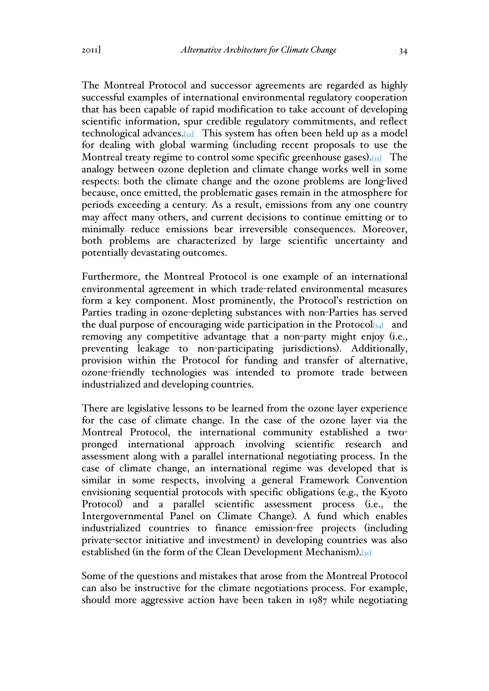The Montreal Protocol and successor agreements are regarded as highly successful examples of international environmental regulatory cooperation that has been capable of rapid modification to take account of developing scientific information, spur credible regulatory commitments, and reflect technological advances. $[32]$  This system has often been held up as a model for dealing with global warming (including recent proposals to use the Montreal treaty regime to control some specific greenhouse gases).<sup>[33]</sup> The analogy between ozone depletion and climate change works well in some respects: both the climate change and the ozone problems are long-lived because, once emitted, the problematic gases remain in the atmosphere for periods exceeding a century. As a result, emissions from any one country may affect many others, and current decisions to continue emitting or to minimally reduce emissions bear irreversible consequences. Moreover, both problems are characterized by large scientific uncertainty and potentially devastating outcomes.

Furthermore, the Montreal Protocol is one example of an international environmental agreement in which trade-related environmental measures form a key component. Most prominently, the Protocol's restriction on Parties trading in ozone-depleting substances with non-Parties has served the dual purpose of encouraging wide participation in the Protocol $_{[34]}$  and removing any competitive advantage that a non-party might enjoy (i.e., preventing leakage to non-participating jurisdictions). Additionally, provision within the Protocol for funding and transfer of alternative, ozone-friendly technologies was intended to promote trade between industrialized and developing countries.

There are legislative lessons to be learned from the ozone layer experience for the case of climate change. In the case of the ozone layer via the Montreal Protocol, the international community established a twopronged international approach involving scientific research and assessment along with a parallel international negotiating process. In the case of climate change, an international regime was developed that is similar in some respects, involving a general Framework Convention envisioning sequential protocols with specific obligations (e.g., the Kyoto Protocol) and a parallel scientific assessment process (i.e., the Intergovernmental Panel on Climate Change). A fund which enables industrialized countries to finance emission-free projects (including private-sector initiative and investment) in developing countries was also established (in the form of the Clean Development Mechanism).[35]

Some of the questions and mistakes that arose from the Montreal Protocol can also be instructive for the climate negotiations process. For example, should more aggressive action have been taken in 1987 while negotiating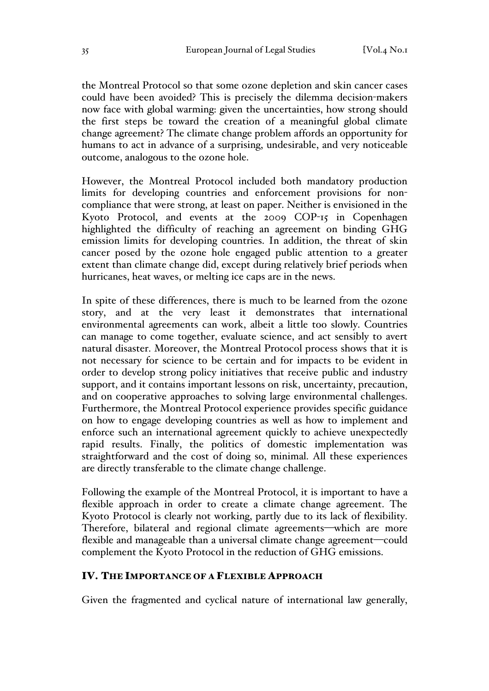the Montreal Protocol so that some ozone depletion and skin cancer cases could have been avoided? This is precisely the dilemma decision-makers now face with global warming: given the uncertainties, how strong should the first steps be toward the creation of a meaningful global climate change agreement? The climate change problem affords an opportunity for humans to act in advance of a surprising, undesirable, and very noticeable outcome, analogous to the ozone hole.

However, the Montreal Protocol included both mandatory production limits for developing countries and enforcement provisions for noncompliance that were strong, at least on paper. Neither is envisioned in the Kyoto Protocol, and events at the 2009 COP-15 in Copenhagen highlighted the difficulty of reaching an agreement on binding GHG emission limits for developing countries. In addition, the threat of skin cancer posed by the ozone hole engaged public attention to a greater extent than climate change did, except during relatively brief periods when hurricanes, heat waves, or melting ice caps are in the news.

In spite of these differences, there is much to be learned from the ozone story, and at the very least it demonstrates that international environmental agreements can work, albeit a little too slowly. Countries can manage to come together, evaluate science, and act sensibly to avert natural disaster. Moreover, the Montreal Protocol process shows that it is not necessary for science to be certain and for impacts to be evident in order to develop strong policy initiatives that receive public and industry support, and it contains important lessons on risk, uncertainty, precaution, and on cooperative approaches to solving large environmental challenges. Furthermore, the Montreal Protocol experience provides specific guidance on how to engage developing countries as well as how to implement and enforce such an international agreement quickly to achieve unexpectedly rapid results. Finally, the politics of domestic implementation was straightforward and the cost of doing so, minimal. All these experiences are directly transferable to the climate change challenge.

Following the example of the Montreal Protocol, it is important to have a flexible approach in order to create a climate change agreement. The Kyoto Protocol is clearly not working, partly due to its lack of flexibility. Therefore, bilateral and regional climate agreements—which are more flexible and manageable than a universal climate change agreement—could complement the Kyoto Protocol in the reduction of GHG emissions.

### IV. THE IMPORTANCE OF A FLEXIBLE APPROACH

Given the fragmented and cyclical nature of international law generally,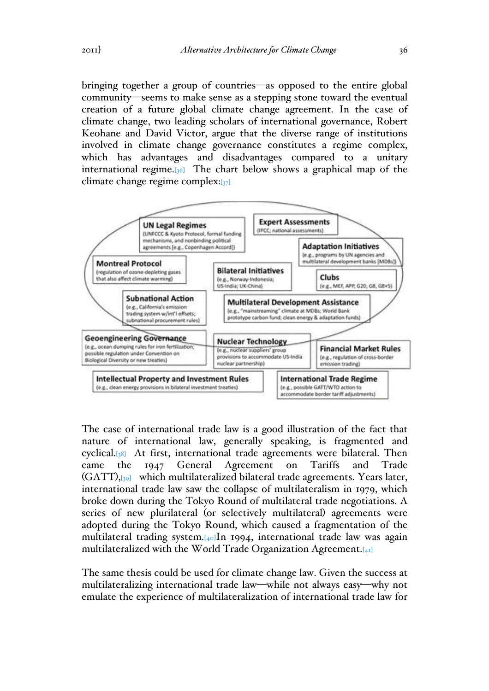bringing together a group of countries—as opposed to the entire global community—seems to make sense as a stepping stone toward the eventual creation of a future global climate change agreement. In the case of climate change, two leading scholars of international governance, Robert Keohane and David Victor, argue that the diverse range of institutions involved in climate change governance constitutes a regime complex, which has advantages and disadvantages compared to a unitary international regime.[36] The chart below shows a graphical map of the climate change regime complex: $[37]$ 



The case of international trade law is a good illustration of the fact that nature of international law, generally speaking, is fragmented and cyclical.[38] At first, international trade agreements were bilateral. Then came the 1947 General Agreement on Tariffs and Trade (GATT),[39] which multilateralized bilateral trade agreements. Years later, international trade law saw the collapse of multilateralism in 1979, which broke down during the Tokyo Round of multilateral trade negotiations. A series of new plurilateral (or selectively multilateral) agreements were adopted during the Tokyo Round, which caused a fragmentation of the multilateral trading system.[40]In 1994, international trade law was again multilateralized with the World Trade Organization Agreement.[41]

The same thesis could be used for climate change law. Given the success at multilateralizing international trade law—while not always easy—why not emulate the experience of multilateralization of international trade law for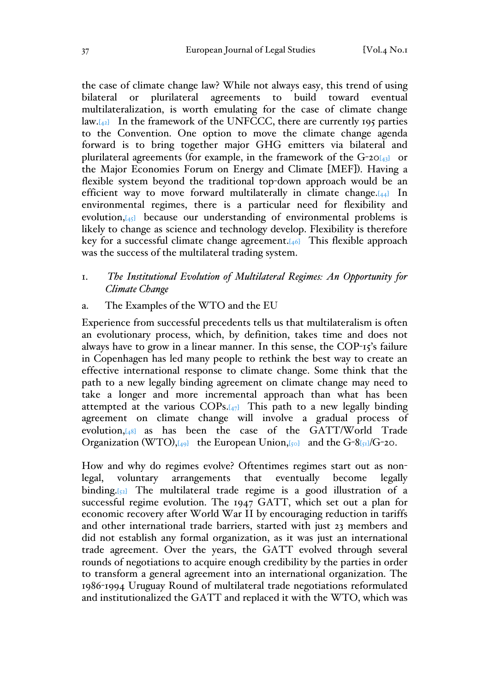the case of climate change law? While not always easy, this trend of using bilateral or plurilateral agreements to build toward eventual multilateralization, is worth emulating for the case of climate change  $law.[42]$  In the framework of the UNFCCC, there are currently 195 parties to the Convention. One option to move the climate change agenda forward is to bring together major GHG emitters via bilateral and plurilateral agreements (for example, in the framework of the G-20[43] or the Major Economies Forum on Energy and Climate [MEF]). Having a flexible system beyond the traditional top-down approach would be an efficient way to move forward multilaterally in climate change. $[44]$  In environmental regimes, there is a particular need for flexibility and evolution,<sup>[45]</sup> because our understanding of environmental problems is likely to change as science and technology develop. Flexibility is therefore key for a successful climate change agreement. $[46]$  This flexible approach was the success of the multilateral trading system.

# 1. *The Institutional Evolution of Multilateral Regimes: An Opportunity for Climate Change*

a. The Examples of the WTO and the EU

Experience from successful precedents tells us that multilateralism is often an evolutionary process, which, by definition, takes time and does not always have to grow in a linear manner. In this sense, the COP-15's failure in Copenhagen has led many people to rethink the best way to create an effective international response to climate change. Some think that the path to a new legally binding agreement on climate change may need to take a longer and more incremental approach than what has been attempted at the various COPs.[47] This path to a new legally binding agreement on climate change will involve a gradual process of evolution, $[48]$  as has been the case of the GATT/World Trade Organization (WTO), $[49]$  the European Union, $[50]$  and the G-8 $[51]$ /G-20.

How and why do regimes evolve? Oftentimes regimes start out as nonlegal, voluntary arrangements that eventually become legally binding. $[s_2]$  The multilateral trade regime is a good illustration of a successful regime evolution. The 1947 GATT, which set out a plan for economic recovery after World War II by encouraging reduction in tariffs and other international trade barriers, started with just 23 members and did not establish any formal organization, as it was just an international trade agreement. Over the years, the GATT evolved through several rounds of negotiations to acquire enough credibility by the parties in order to transform a general agreement into an international organization. The 1986-1994 Uruguay Round of multilateral trade negotiations reformulated and institutionalized the GATT and replaced it with the WTO, which was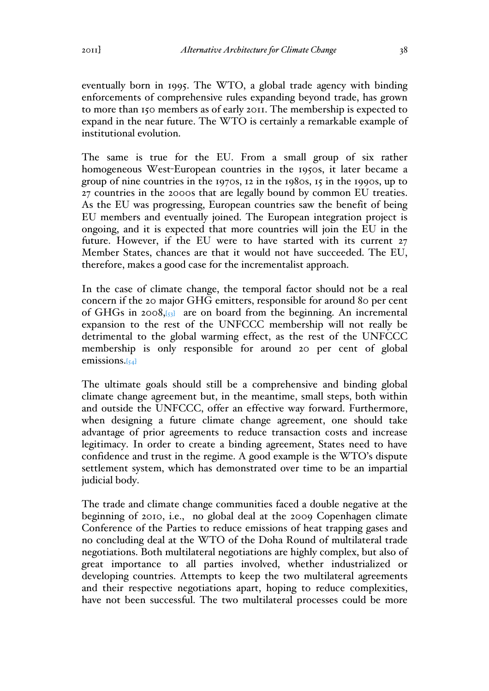eventually born in 1995. The WTO, a global trade agency with binding enforcements of comprehensive rules expanding beyond trade, has grown to more than 150 members as of early 2011. The membership is expected to expand in the near future. The WTO is certainly a remarkable example of institutional evolution.

The same is true for the EU. From a small group of six rather homogeneous West-European countries in the 1950s, it later became a group of nine countries in the 1970s, 12 in the 1980s, 15 in the 1990s, up to 27 countries in the 2000s that are legally bound by common EU treaties. As the EU was progressing, European countries saw the benefit of being EU members and eventually joined. The European integration project is ongoing, and it is expected that more countries will join the EU in the future. However, if the EU were to have started with its current 27 Member States, chances are that it would not have succeeded. The EU, therefore, makes a good case for the incrementalist approach.

In the case of climate change, the temporal factor should not be a real concern if the 20 major GHG emitters, responsible for around 80 per cent of GHGs in 2008,[53] are on board from the beginning. An incremental expansion to the rest of the UNFCCC membership will not really be detrimental to the global warming effect, as the rest of the UNFCCC membership is only responsible for around 20 per cent of global emissions.<sup>[54]</sup>

The ultimate goals should still be a comprehensive and binding global climate change agreement but, in the meantime, small steps, both within and outside the UNFCCC, offer an effective way forward. Furthermore, when designing a future climate change agreement, one should take advantage of prior agreements to reduce transaction costs and increase legitimacy. In order to create a binding agreement, States need to have confidence and trust in the regime. A good example is the WTO's dispute settlement system, which has demonstrated over time to be an impartial judicial body.

The trade and climate change communities faced a double negative at the beginning of 2010, i.e., no global deal at the 2009 Copenhagen climate Conference of the Parties to reduce emissions of heat trapping gases and no concluding deal at the WTO of the Doha Round of multilateral trade negotiations. Both multilateral negotiations are highly complex, but also of great importance to all parties involved, whether industrialized or developing countries. Attempts to keep the two multilateral agreements and their respective negotiations apart, hoping to reduce complexities, have not been successful. The two multilateral processes could be more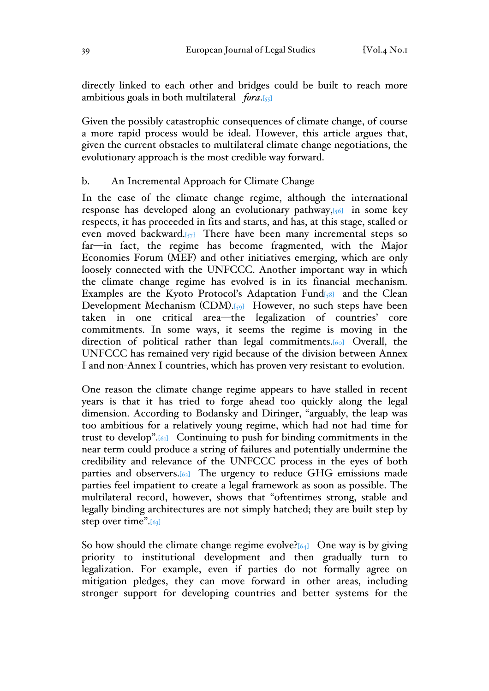directly linked to each other and bridges could be built to reach more ambitious goals in both multilateral *fora*.[55]

Given the possibly catastrophic consequences of climate change, of course a more rapid process would be ideal. However, this article argues that, given the current obstacles to multilateral climate change negotiations, the evolutionary approach is the most credible way forward.

#### b. An Incremental Approach for Climate Change

In the case of the climate change regime, although the international response has developed along an evolutionary pathway,[56] in some key respects, it has proceeded in fits and starts, and has, at this stage, stalled or even moved backward.[57] There have been many incremental steps so far—in fact, the regime has become fragmented, with the Major Economies Forum (MEF) and other initiatives emerging, which are only loosely connected with the UNFCCC. Another important way in which the climate change regime has evolved is in its financial mechanism. Examples are the Kyoto Protocol's Adaptation Fund<sub>[58]</sub> and the Clean Development Mechanism (CDM).<sup>[59]</sup> However, no such steps have been taken in one critical area—the legalization of countries' core commitments. In some ways, it seems the regime is moving in the direction of political rather than legal commitments.[60] Overall, the UNFCCC has remained very rigid because of the division between Annex I and non-Annex I countries, which has proven very resistant to evolution.

One reason the climate change regime appears to have stalled in recent years is that it has tried to forge ahead too quickly along the legal dimension. According to Bodansky and Diringer, "arguably, the leap was too ambitious for a relatively young regime, which had not had time for trust to develop".[61] Continuing to push for binding commitments in the near term could produce a string of failures and potentially undermine the credibility and relevance of the UNFCCC process in the eyes of both parties and observers.[62] The urgency to reduce GHG emissions made parties feel impatient to create a legal framework as soon as possible. The multilateral record, however, shows that "oftentimes strong, stable and legally binding architectures are not simply hatched; they are built step by step over time". $[63]$ 

So how should the climate change regime evolve? $[64]$  One way is by giving priority to institutional development and then gradually turn to legalization. For example, even if parties do not formally agree on mitigation pledges, they can move forward in other areas, including stronger support for developing countries and better systems for the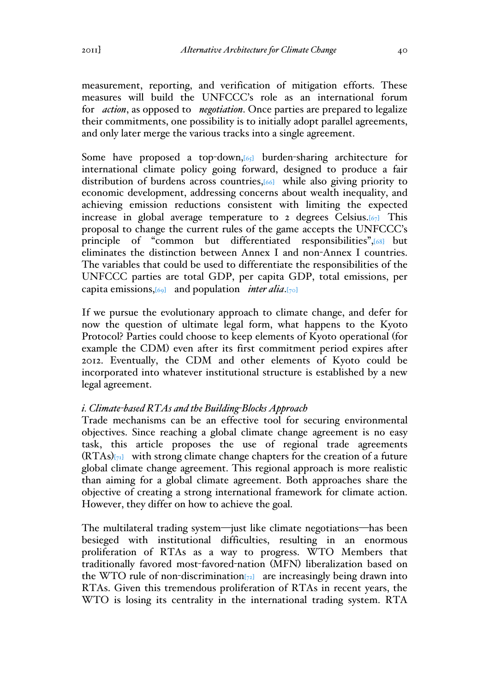measurement, reporting, and verification of mitigation efforts. These measures will build the UNFCCC's role as an international forum for *action*, as opposed to *negotiation*. Once parties are prepared to legalize their commitments, one possibility is to initially adopt parallel agreements, and only later merge the various tracks into a single agreement.

Some have proposed a top-down, $[65]$  burden-sharing architecture for international climate policy going forward, designed to produce a fair distribution of burdens across countries,<sup>[66]</sup> while also giving priority to economic development, addressing concerns about wealth inequality, and achieving emission reductions consistent with limiting the expected increase in global average temperature to 2 degrees Celsius.[67] This proposal to change the current rules of the game accepts the UNFCCC's principle of "common but differentiated responsibilities",[68] but eliminates the distinction between Annex I and non-Annex I countries. The variables that could be used to differentiate the responsibilities of the UNFCCC parties are total GDP, per capita GDP, total emissions, per capita emissions,[69] and population *inter alia*.[70]

If we pursue the evolutionary approach to climate change, and defer for now the question of ultimate legal form, what happens to the Kyoto Protocol? Parties could choose to keep elements of Kyoto operational (for example the CDM) even after its first commitment period expires after 2012. Eventually, the CDM and other elements of Kyoto could be incorporated into whatever institutional structure is established by a new legal agreement.

# *i. Climate-based RTAs and the Building-Blocks Approach*

Trade mechanisms can be an effective tool for securing environmental objectives. Since reaching a global climate change agreement is no easy task, this article proposes the use of regional trade agreements  $(RTAs)_{[71]}$  with strong climate change chapters for the creation of a future global climate change agreement. This regional approach is more realistic than aiming for a global climate agreement. Both approaches share the objective of creating a strong international framework for climate action. However, they differ on how to achieve the goal.

The multilateral trading system—just like climate negotiations—has been besieged with institutional difficulties, resulting in an enormous proliferation of RTAs as a way to progress. WTO Members that traditionally favored most-favored-nation (MFN) liberalization based on the WTO rule of non-discrimination $[72]$  are increasingly being drawn into RTAs. Given this tremendous proliferation of RTAs in recent years, the WTO is losing its centrality in the international trading system. RTA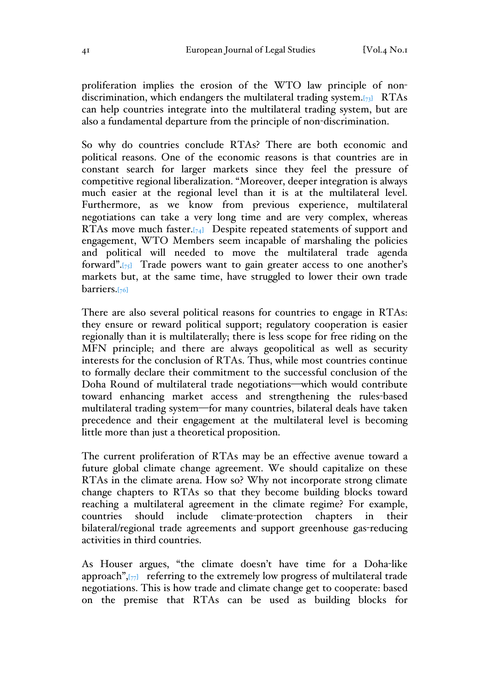proliferation implies the erosion of the WTO law principle of nondiscrimination, which endangers the multilateral trading system.[73] RTAs can help countries integrate into the multilateral trading system, but are also a fundamental departure from the principle of non-discrimination.

So why do countries conclude RTAs? There are both economic and political reasons. One of the economic reasons is that countries are in constant search for larger markets since they feel the pressure of competitive regional liberalization. "Moreover, deeper integration is always much easier at the regional level than it is at the multilateral level. Furthermore, as we know from previous experience, multilateral negotiations can take a very long time and are very complex, whereas RTAs move much faster. $[74]$  Despite repeated statements of support and engagement, WTO Members seem incapable of marshaling the policies and political will needed to move the multilateral trade agenda forward".[75] Trade powers want to gain greater access to one another's markets but, at the same time, have struggled to lower their own trade barriers.<sup>[76]</sup>

There are also several political reasons for countries to engage in RTAs: they ensure or reward political support; regulatory cooperation is easier regionally than it is multilaterally; there is less scope for free riding on the MFN principle; and there are always geopolitical as well as security interests for the conclusion of RTAs. Thus, while most countries continue to formally declare their commitment to the successful conclusion of the Doha Round of multilateral trade negotiations—which would contribute toward enhancing market access and strengthening the rules-based multilateral trading system—for many countries, bilateral deals have taken precedence and their engagement at the multilateral level is becoming little more than just a theoretical proposition.

The current proliferation of RTAs may be an effective avenue toward a future global climate change agreement. We should capitalize on these RTAs in the climate arena. How so? Why not incorporate strong climate change chapters to RTAs so that they become building blocks toward reaching a multilateral agreement in the climate regime? For example, countries should include climate-protection chapters in their bilateral/regional trade agreements and support greenhouse gas-reducing activities in third countries.

As Houser argues, "the climate doesn't have time for a Doha-like approach", $\left[\frac{7}{7}\right]$  referring to the extremely low progress of multilateral trade negotiations. This is how trade and climate change get to cooperate: based on the premise that RTAs can be used as building blocks for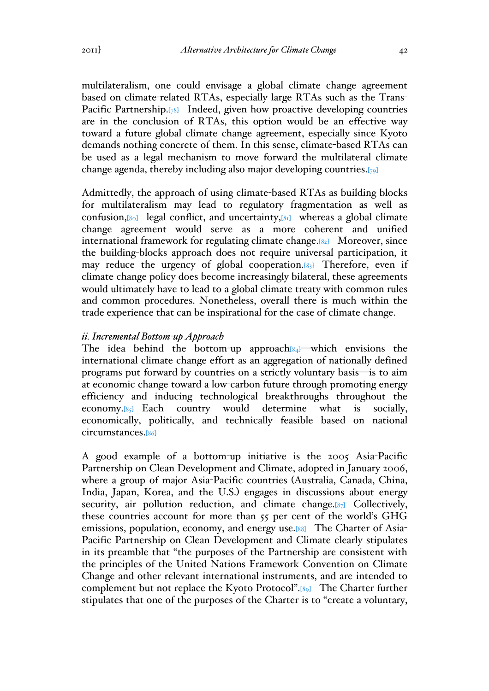multilateralism, one could envisage a global climate change agreement based on climate-related RTAs, especially large RTAs such as the Trans-Pacific Partnership.<sup>[78]</sup> Indeed, given how proactive developing countries are in the conclusion of RTAs, this option would be an effective way toward a future global climate change agreement, especially since Kyoto demands nothing concrete of them. In this sense, climate-based RTAs can be used as a legal mechanism to move forward the multilateral climate change agenda, thereby including also major developing countries.[79]

Admittedly, the approach of using climate-based RTAs as building blocks for multilateralism may lead to regulatory fragmentation as well as confusion,[80] legal conflict, and uncertainty,[81] whereas a global climate change agreement would serve as a more coherent and unified international framework for regulating climate change.[82] Moreover, since the building-blocks approach does not require universal participation, it may reduce the urgency of global cooperation.[83] Therefore, even if climate change policy does become increasingly bilateral, these agreements would ultimately have to lead to a global climate treaty with common rules and common procedures. Nonetheless, overall there is much within the trade experience that can be inspirational for the case of climate change.

### *ii. Incremental Bottom-up Approach*

The idea behind the bottom-up approach $[84]$ —which envisions the international climate change effort as an aggregation of nationally defined programs put forward by countries on a strictly voluntary basis—is to aim at economic change toward a low-carbon future through promoting energy efficiency and inducing technological breakthroughs throughout the economy.<sup>[85]</sup> Each country would determine what is socially, economically, politically, and technically feasible based on national circumstances.[86]

A good example of a bottom-up initiative is the 2005 Asia-Pacific Partnership on Clean Development and Climate, adopted in January 2006, where a group of major Asia-Pacific countries (Australia, Canada, China, India, Japan, Korea, and the U.S.) engages in discussions about energy security, air pollution reduction, and climate change. $[87]$  Collectively, these countries account for more than 55 per cent of the world's GHG emissions, population, economy, and energy use.[88] The Charter of Asia-Pacific Partnership on Clean Development and Climate clearly stipulates in its preamble that "the purposes of the Partnership are consistent with the principles of the United Nations Framework Convention on Climate Change and other relevant international instruments, and are intended to complement but not replace the Kyoto Protocol".[89] The Charter further stipulates that one of the purposes of the Charter is to "create a voluntary,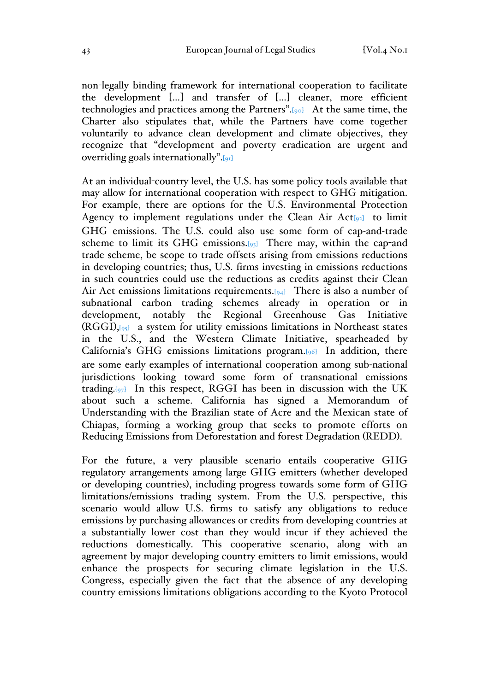non-legally binding framework for international cooperation to facilitate the development […] and transfer of […] cleaner, more efficient technologies and practices among the Partners".[90] At the same time, the Charter also stipulates that, while the Partners have come together voluntarily to advance clean development and climate objectives, they recognize that "development and poverty eradication are urgent and overriding goals internationally".[91]

At an individual-country level, the U.S. has some policy tools available that may allow for international cooperation with respect to GHG mitigation. For example, there are options for the U.S. Environmental Protection Agency to implement regulations under the Clean Air Act<sup>[92]</sup> to limit GHG emissions. The U.S. could also use some form of cap-and-trade scheme to limit its GHG emissions.<sup>[93]</sup> There may, within the cap-and trade scheme, be scope to trade offsets arising from emissions reductions in developing countries; thus, U.S. firms investing in emissions reductions in such countries could use the reductions as credits against their Clean Air Act emissions limitations requirements. $[94]$  There is also a number of subnational carbon trading schemes already in operation or in development, notably the Regional Greenhouse Gas Initiative (RGGI),[95] a system for utility emissions limitations in Northeast states in the U.S., and the Western Climate Initiative, spearheaded by California's GHG emissions limitations program.[96] In addition, there are some early examples of international cooperation among sub‐national jurisdictions looking toward some form of transnational emissions trading. $[97]$  In this respect, RGGI has been in discussion with the UK about such a scheme. California has signed a Memorandum of Understanding with the Brazilian state of Acre and the Mexican state of Chiapas, forming a working group that seeks to promote efforts on Reducing Emissions from Deforestation and forest Degradation (REDD).

For the future, a very plausible scenario entails cooperative GHG regulatory arrangements among large GHG emitters (whether developed or developing countries), including progress towards some form of GHG limitations/emissions trading system. From the U.S. perspective, this scenario would allow U.S. firms to satisfy any obligations to reduce emissions by purchasing allowances or credits from developing countries at a substantially lower cost than they would incur if they achieved the reductions domestically. This cooperative scenario, along with an agreement by major developing country emitters to limit emissions, would enhance the prospects for securing climate legislation in the U.S. Congress, especially given the fact that the absence of any developing country emissions limitations obligations according to the Kyoto Protocol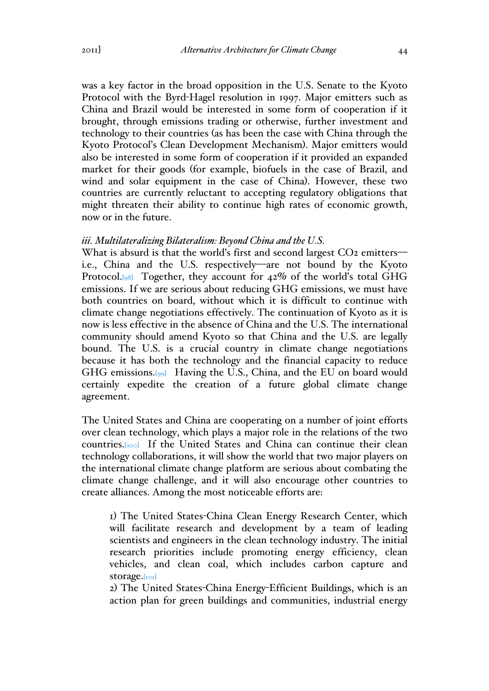was a key factor in the broad opposition in the U.S. Senate to the Kyoto Protocol with the Byrd-Hagel resolution in 1997. Major emitters such as China and Brazil would be interested in some form of cooperation if it brought, through emissions trading or otherwise, further investment and technology to their countries (as has been the case with China through the Kyoto Protocol's Clean Development Mechanism). Major emitters would also be interested in some form of cooperation if it provided an expanded market for their goods (for example, biofuels in the case of Brazil, and wind and solar equipment in the case of China). However, these two countries are currently reluctant to accepting regulatory obligations that might threaten their ability to continue high rates of economic growth, now or in the future.

### *iii. Multilateralizing Bilateralism: Beyond China and the U.S.*

What is absurd is that the world's first and second largest CO<sub>2</sub> emitters i.e., China and the U.S. respectively—are not bound by the Kyoto Protocol.<sup>[98]</sup> Together, they account for 42% of the world's total GHG emissions. If we are serious about reducing GHG emissions, we must have both countries on board, without which it is difficult to continue with climate change negotiations effectively. The continuation of Kyoto as it is now is less effective in the absence of China and the U.S. The international community should amend Kyoto so that China and the U.S. are legally bound. The U.S. is a crucial country in climate change negotiations because it has both the technology and the financial capacity to reduce GHG emissions.[99] Having the U.S., China, and the EU on board would certainly expedite the creation of a future global climate change agreement.

The United States and China are cooperating on a number of joint efforts over clean technology, which plays a major role in the relations of the two countries.[100] If the United States and China can continue their clean technology collaborations, it will show the world that two major players on the international climate change platform are serious about combating the climate change challenge, and it will also encourage other countries to create alliances. Among the most noticeable efforts are:

1) The United States-China Clean Energy Research Center, which will facilitate research and development by a team of leading scientists and engineers in the clean technology industry. The initial research priorities include promoting energy efficiency, clean vehicles, and clean coal, which includes carbon capture and storage.[101]

2) The United States-China Energy-Efficient Buildings, which is an action plan for green buildings and communities, industrial energy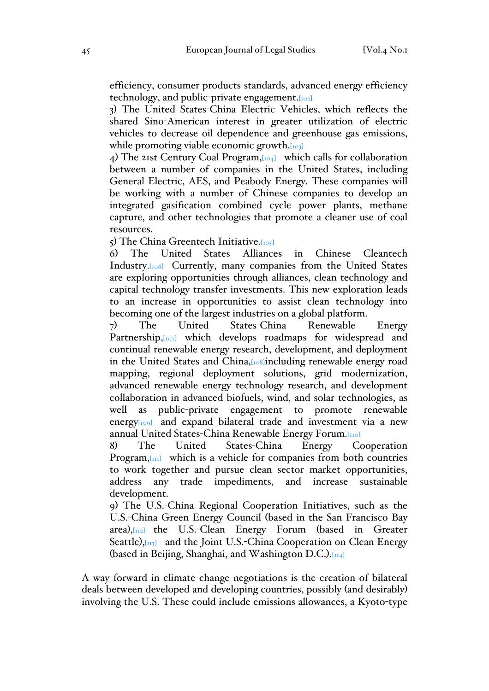efficiency, consumer products standards, advanced energy efficiency technology, and public-private engagement.[102]

3) The United States-China Electric Vehicles, which reflects the shared Sino-American interest in greater utilization of electric vehicles to decrease oil dependence and greenhouse gas emissions, while promoting viable economic growth.[103]

4) The 21st Century Coal Program,[104] which calls for collaboration between a number of companies in the United States, including General Electric, AES, and Peabody Energy. These companies will be working with a number of Chinese companies to develop an integrated gasification combined cycle power plants, methane capture, and other technologies that promote a cleaner use of coal resources.

 $\zeta$ ) The China Greentech Initiative.

6) The United States Alliances in Chinese Cleantech Industry.[106] Currently, many companies from the United States are exploring opportunities through alliances, clean technology and capital technology transfer investments. This new exploration leads to an increase in opportunities to assist clean technology into becoming one of the largest industries on a global platform.

7) The United States-China Renewable Energy Partnership, [107] which develops roadmaps for widespread and continual renewable energy research, development, and deployment in the United States and China,[108]including renewable energy road mapping, regional deployment solutions, grid modernization, advanced renewable energy technology research, and development collaboration in advanced biofuels, wind, and solar technologies, as well as public-private engagement to promote renewable energy[109] and expand bilateral trade and investment via a new annual United States-China Renewable Energy Forum.[110]

8) The United States-China Energy Cooperation Program, [111] which is a vehicle for companies from both countries to work together and pursue clean sector market opportunities, address any trade impediments, and increase sustainable development.

9) The U.S.-China Regional Cooperation Initiatives, such as the U.S.-China Green Energy Council (based in the San Francisco Bay area),[112] the U.S.-Clean Energy Forum (based in Greater Seattle), [113] and the Joint U.S.-China Cooperation on Clean Energy (based in Beijing, Shanghai, and Washington D.C.).[114]

A way forward in climate change negotiations is the creation of bilateral deals between developed and developing countries, possibly (and desirably) involving the U.S. These could include emissions allowances, a Kyoto-type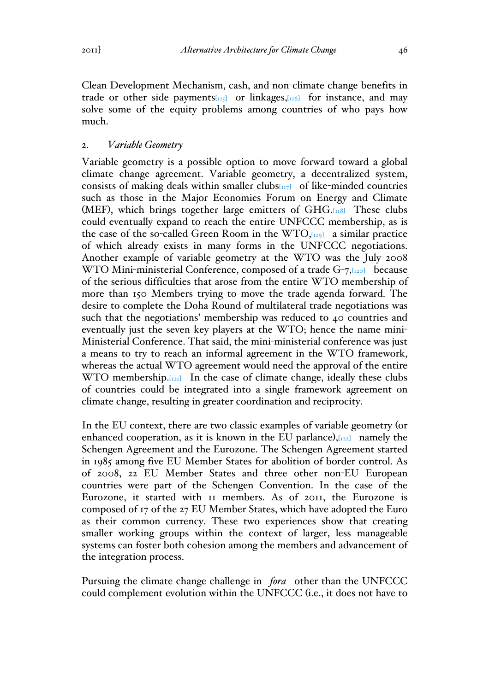Clean Development Mechanism, cash, and non-climate change benefits in trade or other side payments $[r_{15}]$  or linkages, $[r_{16}]$  for instance, and may solve some of the equity problems among countries of who pays how much.

# 2. *Variable Geometry*

Variable geometry is a possible option to move forward toward a global climate change agreement. Variable geometry, a decentralized system, consists of making deals within smaller clubs $\left[\frac{1}{117}\right]$  of like-minded countries such as those in the Major Economies Forum on Energy and Climate (MEF), which brings together large emitters of  $GHG.[<sub>118</sub>]$  These clubs could eventually expand to reach the entire UNFCCC membership, as is the case of the so-called Green Room in the WTO,[119] a similar practice of which already exists in many forms in the UNFCCC negotiations. Another example of variable geometry at the WTO was the July 2008 WTO Mini-ministerial Conference, composed of a trade G-7,[120] because of the serious difficulties that arose from the entire WTO membership of more than 150 Members trying to move the trade agenda forward. The desire to complete the Doha Round of multilateral trade negotiations was such that the negotiations' membership was reduced to 40 countries and eventually just the seven key players at the WTO; hence the name mini-Ministerial Conference. That said, the mini-ministerial conference was just a means to try to reach an informal agreement in the WTO framework, whereas the actual WTO agreement would need the approval of the entire WTO membership.[121] In the case of climate change, ideally these clubs of countries could be integrated into a single framework agreement on climate change, resulting in greater coordination and reciprocity.

In the EU context, there are two classic examples of variable geometry (or enhanced cooperation, as it is known in the EU parlance), $[122]$  namely the Schengen Agreement and the Eurozone. The Schengen Agreement started in 1985 among five EU Member States for abolition of border control. As of 2008, 22 EU Member States and three other non-EU European countries were part of the Schengen Convention. In the case of the Eurozone, it started with 11 members. As of 2011, the Eurozone is composed of 17 of the 27 EU Member States, which have adopted the Euro as their common currency. These two experiences show that creating smaller working groups within the context of larger, less manageable systems can foster both cohesion among the members and advancement of the integration process.

Pursuing the climate change challenge in *fora* other than the UNFCCC could complement evolution within the UNFCCC (i.e., it does not have to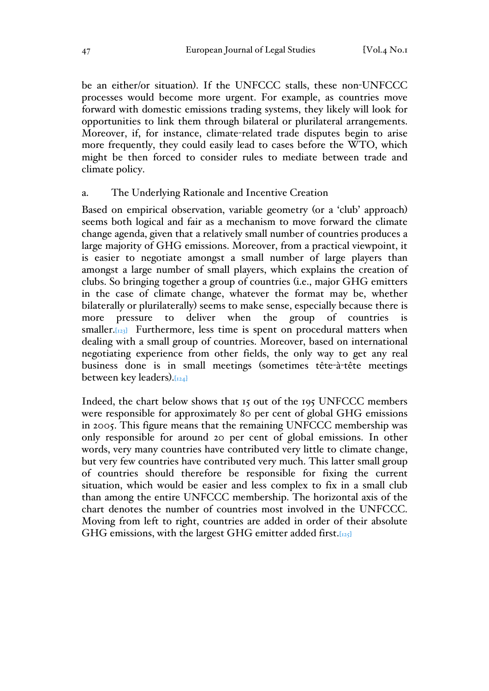be an either/or situation). If the UNFCCC stalls, these non-UNFCCC processes would become more urgent. For example, as countries move forward with domestic emissions trading systems, they likely will look for opportunities to link them through bilateral or plurilateral arrangements. Moreover, if, for instance, climate-related trade disputes begin to arise more frequently, they could easily lead to cases before the WTO, which might be then forced to consider rules to mediate between trade and climate policy.

#### a. The Underlying Rationale and Incentive Creation

Based on empirical observation, variable geometry (or a 'club' approach) seems both logical and fair as a mechanism to move forward the climate change agenda, given that a relatively small number of countries produces a large majority of GHG emissions. Moreover, from a practical viewpoint, it is easier to negotiate amongst a small number of large players than amongst a large number of small players, which explains the creation of clubs. So bringing together a group of countries (i.e., major GHG emitters in the case of climate change, whatever the format may be, whether bilaterally or plurilaterally) seems to make sense, especially because there is more pressure to deliver when the group of countries is smaller.<sup>[123]</sup> Furthermore, less time is spent on procedural matters when dealing with a small group of countries. Moreover, based on international negotiating experience from other fields, the only way to get any real business done is in small meetings (sometimes tête-à-tête meetings between key leaders).[124]

Indeed, the chart below shows that 15 out of the 195 UNFCCC members were responsible for approximately 80 per cent of global GHG emissions in 2005. This figure means that the remaining UNFCCC membership was only responsible for around 20 per cent of global emissions. In other words, very many countries have contributed very little to climate change, but very few countries have contributed very much. This latter small group of countries should therefore be responsible for fixing the current situation, which would be easier and less complex to fix in a small club than among the entire UNFCCC membership. The horizontal axis of the chart denotes the number of countries most involved in the UNFCCC. Moving from left to right, countries are added in order of their absolute GHG emissions, with the largest GHG emitter added first.[125]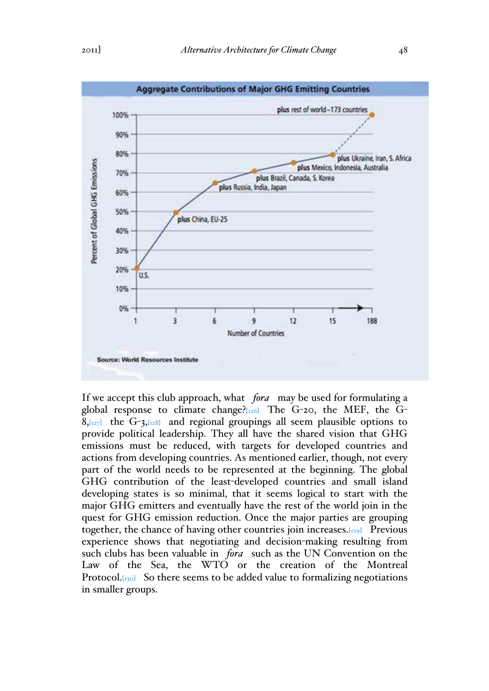

If we accept this club approach, what *fora* may be used for formulating a global response to climate change? $[126]$  The G-20, the MEF, the G- $8,$ [127] the G-3,[128] and regional groupings all seem plausible options to provide political leadership. They all have the shared vision that GHG emissions must be reduced, with targets for developed countries and actions from developing countries. As mentioned earlier, though, not every part of the world needs to be represented at the beginning. The global GHG contribution of the least-developed countries and small island developing states is so minimal, that it seems logical to start with the major GHG emitters and eventually have the rest of the world join in the quest for GHG emission reduction. Once the major parties are grouping together, the chance of having other countries join increases.[129] Previous experience shows that negotiating and decision-making resulting from such clubs has been valuable in *fora* such as the UN Convention on the Law of the Sea, the WTO or the creation of the Montreal Protocol.[130] So there seems to be added value to formalizing negotiations in smaller groups.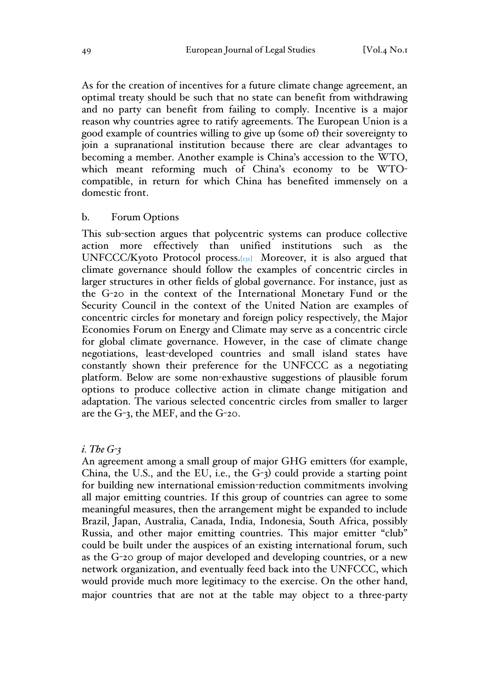As for the creation of incentives for a future climate change agreement, an optimal treaty should be such that no state can benefit from withdrawing and no party can benefit from failing to comply. Incentive is a major reason why countries agree to ratify agreements. The European Union is a good example of countries willing to give up (some of) their sovereignty to join a supranational institution because there are clear advantages to becoming a member. Another example is China's accession to the WTO, which meant reforming much of China's economy to be WTOcompatible, in return for which China has benefited immensely on a domestic front.

#### b. Forum Options

This sub-section argues that polycentric systems can produce collective action more effectively than unified institutions such as the UNFCCC/Kyoto Protocol process.[131] Moreover, it is also argued that climate governance should follow the examples of concentric circles in larger structures in other fields of global governance. For instance, just as the G-20 in the context of the International Monetary Fund or the Security Council in the context of the United Nation are examples of concentric circles for monetary and foreign policy respectively, the Major Economies Forum on Energy and Climate may serve as a concentric circle for global climate governance. However, in the case of climate change negotiations, least-developed countries and small island states have constantly shown their preference for the UNFCCC as a negotiating platform. Below are some non-exhaustive suggestions of plausible forum options to produce collective action in climate change mitigation and adaptation. The various selected concentric circles from smaller to larger are the G-3, the MEF, and the G-20.

*i. The G-3*

An agreement among a small group of major GHG emitters (for example, China, the U.S., and the EU, i.e., the G-3) could provide a starting point for building new international emission-reduction commitments involving all major emitting countries. If this group of countries can agree to some meaningful measures, then the arrangement might be expanded to include Brazil, Japan, Australia, Canada, India, Indonesia, South Africa, possibly Russia, and other major emitting countries. This major emitter "club" could be built under the auspices of an existing international forum, such as the G-20 group of major developed and developing countries, or a new network organization, and eventually feed back into the UNFCCC, which would provide much more legitimacy to the exercise. On the other hand, major countries that are not at the table may object to a three-party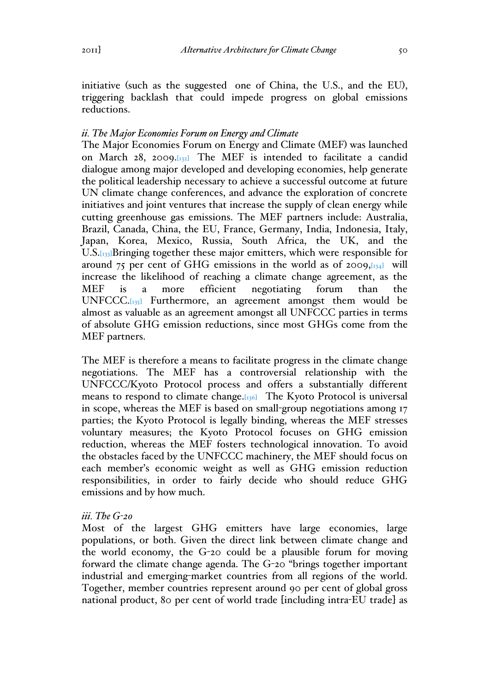initiative (such as the suggested one of China, the U.S., and the EU), triggering backlash that could impede progress on global emissions reductions.

# *ii. The Major Economies Forum on Energy and Climate*

The Major Economies Forum on Energy and Climate (MEF) was launched on March 28, 2009.[132] The MEF is intended to facilitate a candid dialogue among major developed and developing economies, help generate the political leadership necessary to achieve a successful outcome at future UN climate change conferences, and advance the exploration of concrete initiatives and joint ventures that increase the supply of clean energy while cutting greenhouse gas emissions. The MEF partners include: Australia, Brazil, Canada, China, the EU, France, Germany, India, Indonesia, Italy, Japan, Korea, Mexico, Russia, South Africa, the UK, and the U.S.[133]Bringing together these major emitters, which were responsible for around 75 per cent of GHG emissions in the world as of 2009, $[x_{34}]$  will increase the likelihood of reaching a climate change agreement, as the MEF is a more efficient negotiating forum than the UNFCCC.[135] Furthermore, an agreement amongst them would be almost as valuable as an agreement amongst all UNFCCC parties in terms of absolute GHG emission reductions, since most GHGs come from the MEF partners.

The MEF is therefore a means to facilitate progress in the climate change negotiations. The MEF has a controversial relationship with the UNFCCC/Kyoto Protocol process and offers a substantially different means to respond to climate change.[136] The Kyoto Protocol is universal in scope, whereas the MEF is based on small-group negotiations among 17 parties; the Kyoto Protocol is legally binding, whereas the MEF stresses voluntary measures; the Kyoto Protocol focuses on GHG emission reduction, whereas the MEF fosters technological innovation. To avoid the obstacles faced by the UNFCCC machinery, the MEF should focus on each member's economic weight as well as GHG emission reduction responsibilities, in order to fairly decide who should reduce GHG emissions and by how much.

#### *iii. The G-20*

Most of the largest GHG emitters have large economies, large populations, or both. Given the direct link between climate change and the world economy, the G-20 could be a plausible forum for moving forward the climate change agenda. The G-20 "brings together important industrial and emerging-market countries from all regions of the world. Together, member countries represent around 90 per cent of global gross national product, 80 per cent of world trade [including intra-EU trade] as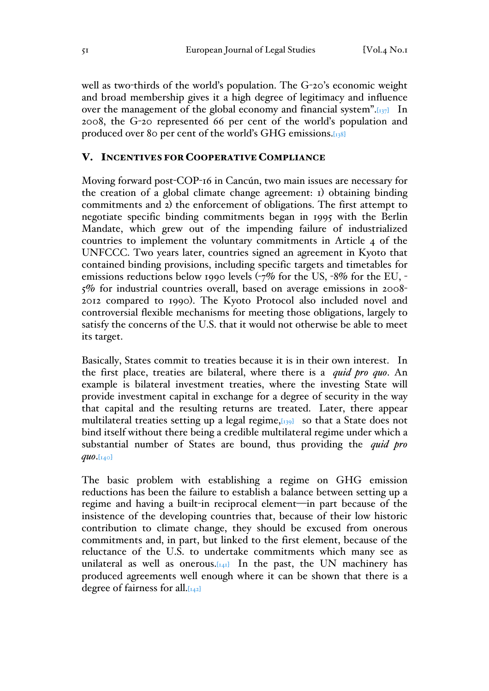well as two-thirds of the world's population. The G-20's economic weight and broad membership gives it a high degree of legitimacy and influence over the management of the global economy and financial system".[137] In 2008, the G-20 represented 66 per cent of the world's population and produced over 80 per cent of the world's GHG emissions.[138]

# V. INCENTIVES FOR COOPERATIVE COMPLIANCE

Moving forward post-COP-16 in Cancún, two main issues are necessary for the creation of a global climate change agreement: 1) obtaining binding commitments and 2) the enforcement of obligations. The first attempt to negotiate specific binding commitments began in 1995 with the Berlin Mandate, which grew out of the impending failure of industrialized countries to implement the voluntary commitments in Article 4 of the UNFCCC. Two years later, countries signed an agreement in Kyoto that contained binding provisions, including specific targets and timetables for emissions reductions below 1990 levels (-7% for the US, -8% for the EU, -5% for industrial countries overall, based on average emissions in 2008- 2012 compared to 1990). The Kyoto Protocol also included novel and controversial flexible mechanisms for meeting those obligations, largely to satisfy the concerns of the U.S. that it would not otherwise be able to meet its target.

Basically, States commit to treaties because it is in their own interest. In the first place, treaties are bilateral, where there is a *quid pro quo*. An example is bilateral investment treaties, where the investing State will provide investment capital in exchange for a degree of security in the way that capital and the resulting returns are treated. Later, there appear multilateral treaties setting up a legal regime, [139] so that a State does not bind itself without there being a credible multilateral regime under which a substantial number of States are bound, thus providing the *quid pro quo*.[140]

The basic problem with establishing a regime on GHG emission reductions has been the failure to establish a balance between setting up a regime and having a built-in reciprocal element—in part because of the insistence of the developing countries that, because of their low historic contribution to climate change, they should be excused from onerous commitments and, in part, but linked to the first element, because of the reluctance of the U.S. to undertake commitments which many see as unilateral as well as onerous.[141] In the past, the UN machinery has produced agreements well enough where it can be shown that there is a degree of fairness for all. $[I_{42}]$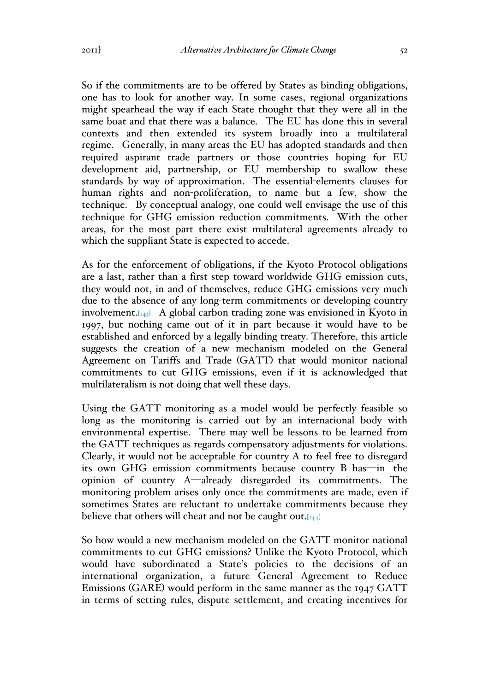So if the commitments are to be offered by States as binding obligations, one has to look for another way. In some cases, regional organizations might spearhead the way if each State thought that they were all in the same boat and that there was a balance. The EU has done this in several contexts and then extended its system broadly into a multilateral regime. Generally, in many areas the EU has adopted standards and then required aspirant trade partners or those countries hoping for EU development aid, partnership, or EU membership to swallow these standards by way of approximation. The essential-elements clauses for human rights and non-proliferation, to name but a few, show the technique. By conceptual analogy, one could well envisage the use of this technique for GHG emission reduction commitments. With the other areas, for the most part there exist multilateral agreements already to which the suppliant State is expected to accede.

As for the enforcement of obligations, if the Kyoto Protocol obligations are a last, rather than a first step toward worldwide GHG emission cuts, they would not, in and of themselves, reduce GHG emissions very much due to the absence of any long-term commitments or developing country involvement. $[I_{43}]$  A global carbon trading zone was envisioned in Kyoto in 1997, but nothing came out of it in part because it would have to be established and enforced by a legally binding treaty. Therefore, this article suggests the creation of a new mechanism modeled on the General Agreement on Tariffs and Trade (GATT) that would monitor national commitments to cut GHG emissions, even if it is acknowledged that multilateralism is not doing that well these days.

Using the GATT monitoring as a model would be perfectly feasible so long as the monitoring is carried out by an international body with environmental expertise. There may well be lessons to be learned from the GATT techniques as regards compensatory adjustments for violations. Clearly, it would not be acceptable for country A to feel free to disregard its own GHG emission commitments because country B has—in the opinion of country A—already disregarded its commitments. The monitoring problem arises only once the commitments are made, even if sometimes States are reluctant to undertake commitments because they believe that others will cheat and not be caught out. $[I<sub>144</sub>]$ 

So how would a new mechanism modeled on the GATT monitor national commitments to cut GHG emissions? Unlike the Kyoto Protocol, which would have subordinated a State's policies to the decisions of an international organization, a future General Agreement to Reduce Emissions (GARE) would perform in the same manner as the 1947 GATT in terms of setting rules, dispute settlement, and creating incentives for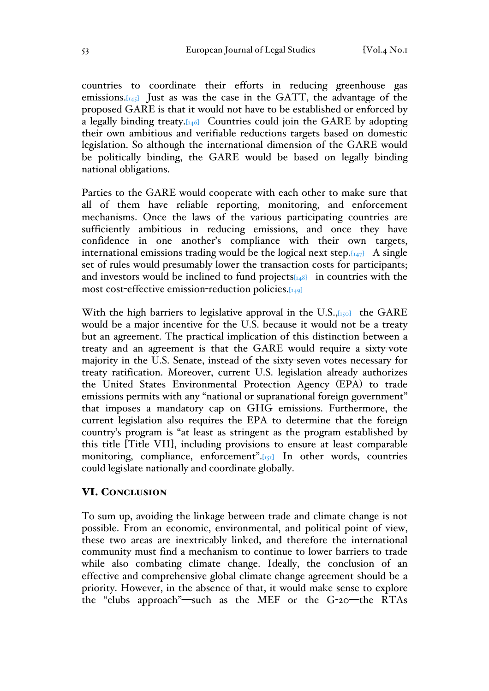countries to coordinate their efforts in reducing greenhouse gas emissions.[145] Just as was the case in the GATT, the advantage of the proposed GARE is that it would not have to be established or enforced by a legally binding treaty.[146] Countries could join the GARE by adopting their own ambitious and verifiable reductions targets based on domestic legislation. So although the international dimension of the GARE would be politically binding, the GARE would be based on legally binding national obligations.

Parties to the GARE would cooperate with each other to make sure that all of them have reliable reporting, monitoring, and enforcement mechanisms. Once the laws of the various participating countries are sufficiently ambitious in reducing emissions, and once they have confidence in one another's compliance with their own targets, international emissions trading would be the logical next step. $[I_{47}]$  A single set of rules would presumably lower the transaction costs for participants; and investors would be inclined to fund projects $[I_48]$  in countries with the most cost-effective emission-reduction policies.[149]

With the high barriers to legislative approval in the U.S., $[x<sub>50</sub>]$  the GARE would be a major incentive for the U.S. because it would not be a treaty but an agreement. The practical implication of this distinction between a treaty and an agreement is that the GARE would require a sixty-vote majority in the U.S. Senate, instead of the sixty-seven votes necessary for treaty ratification. Moreover, current U.S. legislation already authorizes the United States Environmental Protection Agency (EPA) to trade emissions permits with any "national or supranational foreign government" that imposes a mandatory cap on GHG emissions. Furthermore, the current legislation also requires the EPA to determine that the foreign country's program is "at least as stringent as the program established by this title [Title VII], including provisions to ensure at least comparable monitoring, compliance, enforcement".[151] In other words, countries could legislate nationally and coordinate globally.

# VI. CONCLUSION

To sum up, avoiding the linkage between trade and climate change is not possible. From an economic, environmental, and political point of view, these two areas are inextricably linked, and therefore the international community must find a mechanism to continue to lower barriers to trade while also combating climate change. Ideally, the conclusion of an effective and comprehensive global climate change agreement should be a priority. However, in the absence of that, it would make sense to explore the "clubs approach"—such as the MEF or the G-20—the RTAs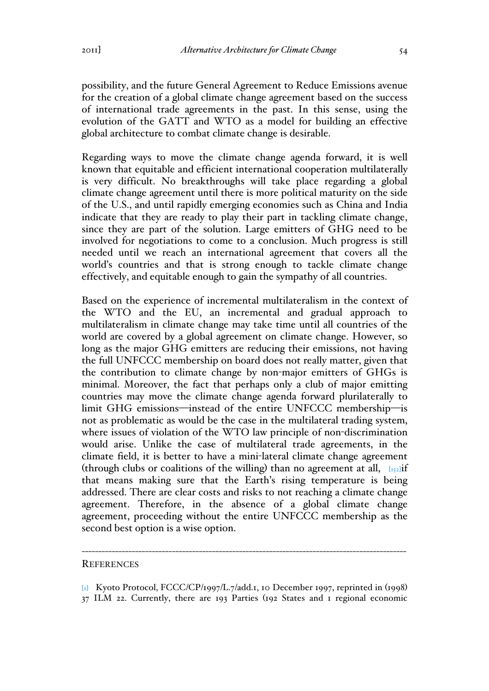possibility, and the future General Agreement to Reduce Emissions avenue for the creation of a global climate change agreement based on the success of international trade agreements in the past. In this sense, using the evolution of the GATT and WTO as a model for building an effective global architecture to combat climate change is desirable.

Regarding ways to move the climate change agenda forward, it is well known that equitable and efficient international cooperation multilaterally is very difficult. No breakthroughs will take place regarding a global climate change agreement until there is more political maturity on the side of the U.S., and until rapidly emerging economies such as China and India indicate that they are ready to play their part in tackling climate change, since they are part of the solution. Large emitters of GHG need to be involved for negotiations to come to a conclusion. Much progress is still needed until we reach an international agreement that covers all the world's countries and that is strong enough to tackle climate change effectively, and equitable enough to gain the sympathy of all countries.

Based on the experience of incremental multilateralism in the context of the WTO and the EU, an incremental and gradual approach to multilateralism in climate change may take time until all countries of the world are covered by a global agreement on climate change. However, so long as the major GHG emitters are reducing their emissions, not having the full UNFCCC membership on board does not really matter, given that the contribution to climate change by non-major emitters of GHGs is minimal. Moreover, the fact that perhaps only a club of major emitting countries may move the climate change agenda forward plurilaterally to limit GHG emissions—instead of the entire UNFCCC membership—is not as problematic as would be the case in the multilateral trading system, where issues of violation of the WTO law principle of non-discrimination would arise. Unlike the case of multilateral trade agreements, in the climate field, it is better to have a mini-lateral climate change agreement (through clubs or coalitions of the willing) than no agreement at all,  $[I_{152}]$ if that means making sure that the Earth's rising temperature is being addressed. There are clear costs and risks to not reaching a climate change agreement. Therefore, in the absence of a global climate change agreement, proceeding without the entire UNFCCC membership as the second best option is a wise option.

#### **REFERENCES**

[1] Kyoto Protocol, FCCC/CP/1997/L.7/add.1, 10 December 1997, reprinted in (1998)

-------------------------------------------------------------------------------------------------

37 ILM 22. Currently, there are 193 Parties (192 States and 1 regional economic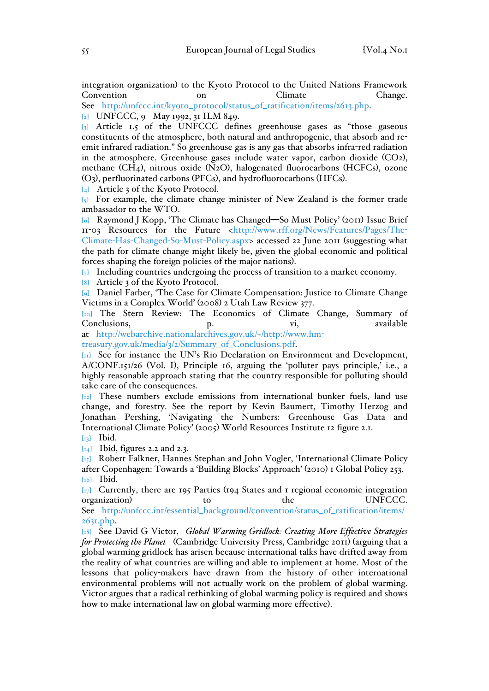integration organization) to the Kyoto Protocol to the United Nations Framework Convention on Climate Change.

See http://unfccc.int/kyoto\_protocol/status\_of\_ratification/items/2613.php. [2] UNFCCC, 9 May 1992, 31 ILM 849.

[3] Article 1.5 of the UNFCCC defines greenhouse gases as "those gaseous constituents of the atmosphere, both natural and anthropogenic, that absorb and reemit infrared radiation." So greenhouse gas is any gas that absorbs infra-red radiation in the atmosphere. Greenhouse gases include water vapor, carbon dioxide (CO2), methane (CH4), nitrous oxide (N2O), halogenated fluorocarbons (HCFCs), ozone (O3), perfluorinated carbons (PFCs), and hydrofluorocarbons (HFCs).

[4] Article 3 of the Kyoto Protocol.

[5] For example, the climate change minister of New Zealand is the former trade ambassador to the WTO.

[6] Raymond J Kopp, 'The Climate has Changed—So Must Policy' (2011) Issue Brief 11-03 Resources for the Future <http://www.rff.org/News/Features/Pages/The-Climate-Has-Changed-So-Must-Policy.aspx> accessed 22 June 2011 (suggesting what the path for climate change might likely be, given the global economic and political forces shaping the foreign policies of the major nations).

 $\lceil$ <sub>[7]</sub> Including countries undergoing the process of transition to a market economy.

[8] Article 3 of the Kyoto Protocol.

[9] Daniel Farber, 'The Case for Climate Compensation: Justice to Climate Change Victims in a Complex World' (2008) 2 Utah Law Review 377.

[10] The Stern Review: The Economics of Climate Change, Summary of Conclusions,  $p.$  by p. wi, available

at http://webarchive.nationalarchives.gov.uk/+/http://www.hm-

treasury.gov.uk/media/3/2/Summary\_of\_Conclusions.pdf.

 $[n]$  See for instance the UN's Rio Declaration on Environment and Development, A/CONF.151/26 (Vol. I), Principle 16, arguing the 'polluter pays principle, i.e., a highly reasonable approach stating that the country responsible for polluting should take care of the consequences.

[12] These numbers exclude emissions from international bunker fuels, land use change, and forestry. See the report by Kevin Baumert, Timothy Herzog and Jonathan Pershing, 'Navigating the Numbers: Greenhouse Gas Data and International Climate Policy' (2005) World Resources Institute 12 figure 2.1.

[13] Ibid.

 $[i_4]$  Ibid, figures 2.2 and 2.3.

[15] Robert Falkner, Hannes Stephan and John Vogler, 'International Climate Policy after Copenhagen: Towards a 'Building Blocks' Approach' (2010) 1 Global Policy 253.  $[t<sub>16</sub>]$  Ibid.

[17] Currently, there are 195 Parties (194 States and 1 regional economic integration organization) to the UNFCCC.

See http://unfccc.int/essential\_background/convention/status\_of\_ratification/items/ 2631.php.

[18] See David G Victor, *Global Warming Gridlock: Creating More Effective Strategies for Protecting the Planet* (Cambridge University Press, Cambridge 2011) (arguing that a global warming gridlock has arisen because international talks have drifted away from the reality of what countries are willing and able to implement at home. Most of the lessons that policy-makers have drawn from the history of other international environmental problems will not actually work on the problem of global warming. Victor argues that a radical rethinking of global warming policy is required and shows how to make international law on global warming more effective).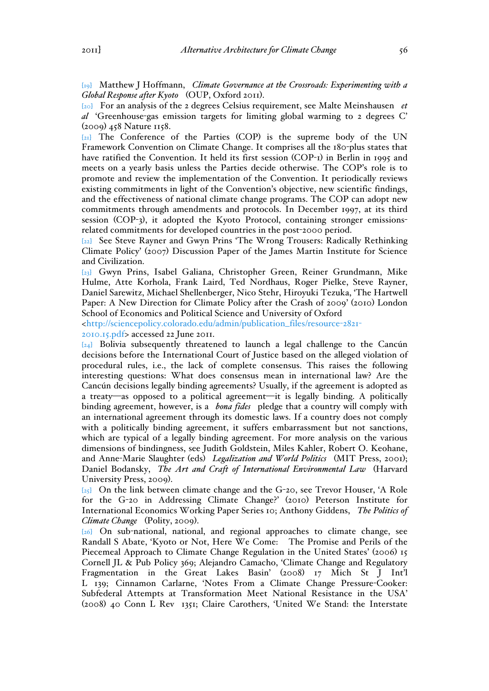[19] Matthew J Hoffmann, *Climate Governance at the Crossroads: Experimenting with a Global Response after Kyoto* (OUP, Oxford 2011).

[20] For an analysis of the 2 degrees Celsius requirement, see Malte Meinshausen *et al* 'Greenhouse-gas emission targets for limiting global warming to 2 degrees C' (2009) 458 Nature 1158.

[21] The Conference of the Parties (COP) is the supreme body of the UN Framework Convention on Climate Change. It comprises all the 180-plus states that have ratified the Convention. It held its first session (COP-1) in Berlin in 1995 and meets on a yearly basis unless the Parties decide otherwise. The COP's role is to promote and review the implementation of the Convention. It periodically reviews existing commitments in light of the Convention's objective, new scientific findings, and the effectiveness of national climate change programs. The COP can adopt new commitments through amendments and protocols. In December 1997, at its third session (COP-3), it adopted the Kyoto Protocol, containing stronger emissionsrelated commitments for developed countries in the post-2000 period.

[22] See Steve Rayner and Gwyn Prins 'The Wrong Trousers: Radically Rethinking Climate Policy' (2007) Discussion Paper of the James Martin Institute for Science and Civilization.

[23] Gwyn Prins, Isabel Galiana, Christopher Green, Reiner Grundmann, Mike Hulme, Atte Korhola, Frank Laird, Ted Nordhaus, Roger Pielke, Steve Rayner, Daniel Sarewitz, Michael Shellenberger, Nico Stehr, Hiroyuki Tezuka, 'The Hartwell Paper: A New Direction for Climate Policy after the Crash of 2009' (2010) London School of Economics and Political Science and University of Oxford

<http://sciencepolicy.colorado.edu/admin/publication\_files/resource-2821-

2010.15.pdf> accessed 22 June 2011.

 $[24]$  Bolivia subsequently threatened to launch a legal challenge to the Cancún decisions before the International Court of Justice based on the alleged violation of procedural rules, i.e., the lack of complete consensus. This raises the following interesting questions: What does consensus mean in international law? Are the Cancún decisions legally binding agreements? Usually, if the agreement is adopted as a treaty—as opposed to a political agreement—it is legally binding. A politically binding agreement, however, is a *bona fides* pledge that a country will comply with an international agreement through its domestic laws. If a country does not comply with a politically binding agreement, it suffers embarrassment but not sanctions, which are typical of a legally binding agreement. For more analysis on the various dimensions of bindingness, see Judith Goldstein, Miles Kahler, Robert O. Keohane, and Anne-Marie Slaughter (eds) *Legalization and World Politics* (MIT Press, 2001); Daniel Bodansky, *The Art and Craft of International Environmental Law* (Harvard University Press, 2009).

[25] On the link between climate change and the G-20, see Trevor Houser, 'A Role for the G-20 in Addressing Climate Change?' (2010) Peterson Institute for International Economics Working Paper Series 10; Anthony Giddens, *The Politics of Climate Change* (Polity, 2009).

[26] On sub-national, national, and regional approaches to climate change, see Randall S Abate, 'Kyoto or Not, Here We Come: The Promise and Perils of the Piecemeal Approach to Climate Change Regulation in the United States' (2006) 15 Cornell JL & Pub Policy 369; Alejandro Camacho, 'Climate Change and Regulatory Fragmentation in the Great Lakes Basin' (2008) 17 Mich St J Int'l L 139; Cinnamon Carlarne, 'Notes From a Climate Change Pressure-Cooker: Subfederal Attempts at Transformation Meet National Resistance in the USA' (2008) 40 Conn L Rev 1351; Claire Carothers, 'United We Stand: the Interstate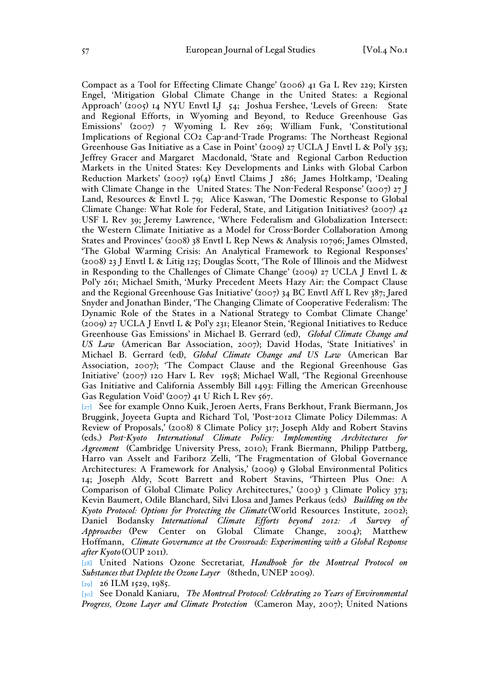Compact as a Tool for Effecting Climate Change' (2006) 41 Ga L Rev 229; Kirsten Engel, 'Mitigation Global Climate Change in the United States: a Regional Approach' (2005) 14 NYU Envtl LJ 54; Joshua Fershee, 'Levels of Green: State and Regional Efforts, in Wyoming and Beyond, to Reduce Greenhouse Gas Emissions' (2007) 7 Wyoming L Rev 269; William Funk, 'Constitutional Implications of Regional CO2 Cap-and-Trade Programs: The Northeast Regional Greenhouse Gas Initiative as a Case in Point' (2009) 27 UCLA J Envtl L & Pol'y 353; Jeffrey Gracer and Margaret Macdonald, 'State and Regional Carbon Reduction Markets in the United States: Key Developments and Links with Global Carbon Reduction Markets' (2007) 19(4) Envtl Claims J 286; James Holtkamp, 'Dealing with Climate Change in the United States: The Non-Federal Response' (2007) 27 J Land, Resources & Envtl L 79; Alice Kaswan, 'The Domestic Response to Global Climate Change: What Role for Federal, State, and Litigation Initiatives? (2007) 42 USF L Rev 39; Jeremy Lawrence, 'Where Federalism and Globalization Intersect: the Western Climate Initiative as a Model for Cross-Border Collaboration Among States and Provinces' (2008) 38 Envtl L Rep News & Analysis 10796; James Olmsted, 'The Global Warming Crisis: An Analytical Framework to Regional Responses' (2008) 23 J Envtl L & Litig 125; Douglas Scott, 'The Role of Illinois and the Midwest in Responding to the Challenges of Climate Change' (2009) 27 UCLA J Envtl L & Pol'y 261; Michael Smith, 'Murky Precedent Meets Hazy Air: the Compact Clause and the Regional Greenhouse Gas Initiative' (2007) 34 BC Envtl Aff L Rev 387; Jared Snyder and Jonathan Binder, 'The Changing Climate of Cooperative Federalism: The Dynamic Role of the States in a National Strategy to Combat Climate Change' (2009) 27 UCLA J Envtl L & Pol'y 231; Eleanor Stein, 'Regional Initiatives to Reduce Greenhouse Gas Emissions' in Michael B. Gerrard (ed), *Global Climate Change and US Law* (American Bar Association, 2007); David Hodas, 'State Initiatives' in Michael B. Gerrard (ed), *Global Climate Change and US Law* (American Bar Association, 2007); 'The Compact Clause and the Regional Greenhouse Gas Initiative' (2007) 120 Harv L Rev 1958; Michael Wall, 'The Regional Greenhouse Gas Initiative and California Assembly Bill 1493: Filling the American Greenhouse Gas Regulation Void' (2007) 41 U Rich L Rev 567.

[27] See for example Onno Kuik, Jeroen Aerts, Frans Berkhout, Frank Biermann, Jos Bruggink, Joyeeta Gupta and Richard Tol, 'Post-2012 Climate Policy Dilemmas: A Review of Proposals,' (2008) 8 Climate Policy 317; Joseph Aldy and Robert Stavins (eds.) *Post-Kyoto International Climate Policy: Implementing Architectures for Agreement* (Cambridge University Press, 2010); Frank Biermann, Philipp Pattberg, Harro van Asselt and Fariborz Zelli, 'The Fragmentation of Global Governance Architectures: A Framework for Analysis,' (2009) 9 Global Environmental Politics 14; Joseph Aldy, Scott Barrett and Robert Stavins, 'Thirteen Plus One: A Comparison of Global Climate Policy Architectures,' (2003) 3 Climate Policy 373; Kevin Baumert, Odile Blanchard, Silvi Llosa and James Perkaus (eds) *Building on the Kyoto Protocol: Options for Protecting the Climate*(World Resources Institute, 2002); Daniel Bodansky *International Climate Efforts beyond 2012: A Survey of Approaches* (Pew Center on Global Climate Change, 2004); Matthew Hoffmann, *Climate Governance at the Crossroads: Experimenting with a Global Response after Kyoto* (OUP 2011).

[28] United Nations Ozone Secretariat*, Handbook for the Montreal Protocol on Substances that Deplete the Ozone Layer* (8thedn, UNEP 2009).

 $[29]$  26 ILM 1529, 1985.

[30] See Donald Kaniaru, *The Montreal Protocol: Celebrating 20 Years of Environmental Progress, Ozone Layer and Climate Protection* (Cameron May, 2007); United Nations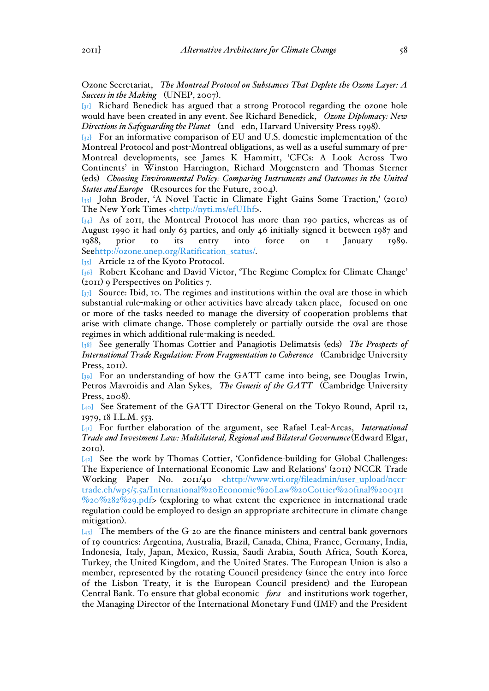Ozone Secretariat, *The Montreal Protocol on Substances That Deplete the Ozone Layer: A Success in the Making* (UNEP, 2007).

 $\begin{bmatrix} \overline{31} \\ \overline{31} \end{bmatrix}$  Richard Benedick has argued that a strong Protocol regarding the ozone hole would have been created in any event. See Richard Benedick, *Ozone Diplomacy: New Directions in Safeguarding the Planet* (2nd edn, Harvard University Press 1998).

[32] For an informative comparison of EU and U.S. domestic implementation of the Montreal Protocol and post-Montreal obligations, as well as a useful summary of pre-Montreal developments, see James K Hammitt, 'CFCs: A Look Across Two Continents' in Winston Harrington, Richard Morgenstern and Thomas Sterner (eds) *Choosing Environmental Policy: Comparing Instruments and Outcomes in the United States and Europe* (Resources for the Future, 2004).

[33] John Broder, 'A Novel Tactic in Climate Fight Gains Some Traction,' (2010) The New York Times <http://nyti.ms/efUIhf>.

[34] As of 2011, the Montreal Protocol has more than 190 parties, whereas as of August 1990 it had only 63 parties, and only 46 initially signed it between 1987 and 1988, prior to its entry into force on 1 January 1989. Seehttp://ozone.unep.org/Ratification\_status/.

[35] Article 12 of the Kyoto Protocol.

[36] Robert Keohane and David Victor, 'The Regime Complex for Climate Change' (2011) 9 Perspectives on Politics 7.

 $\frac{5}{7}$  Source: Ibid, 10. The regimes and institutions within the oval are those in which substantial rule-making or other activities have already taken place, focused on one or more of the tasks needed to manage the diversity of cooperation problems that arise with climate change. Those completely or partially outside the oval are those regimes in which additional rule-making is needed.

[38] See generally Thomas Cottier and Panagiotis Delimatsis (eds) *The Prospects of International Trade Regulation: From Fragmentation to Coherence* (Cambridge University Press, 2011).

[39] For an understanding of how the GATT came into being, see Douglas Irwin, Petros Mavroidis and Alan Sykes, *The Genesis of the GATT* (Cambridge University Press, 2008).

[40] See Statement of the GATT Director-General on the Tokyo Round, April 12, 1979, 18 I.L.M. 553.

[41] For further elaboration of the argument, see Rafael Leal-Arcas, *International Trade and Investment Law: Multilateral, Regional and Bilateral Governance*(Edward Elgar, 2010).

[42] See the work by Thomas Cottier, 'Confidence-building for Global Challenges: The Experience of International Economic Law and Relations' (2011) NCCR Trade Working Paper No. 2011/40 <http://www.wti.org/fileadmin/user\_upload/nccrtrade.ch/wp5/5.5a/International%20Economic%20Law%20Cottier%20final%200311 %20%282%29.pdf> (exploring to what extent the experience in international trade regulation could be employed to design an appropriate architecture in climate change mitigation).

[43] The members of the G-20 are the finance ministers and central bank governors of 19 countries: Argentina, Australia, Brazil, Canada, China, France, Germany, India, Indonesia, Italy, Japan, Mexico, Russia, Saudi Arabia, South Africa, South Korea, Turkey, the United Kingdom, and the United States. The European Union is also a member, represented by the rotating Council presidency (since the entry into force of the Lisbon Treaty, it is the European Council president) and the European Central Bank. To ensure that global economic *fora* and institutions work together, the Managing Director of the International Monetary Fund (IMF) and the President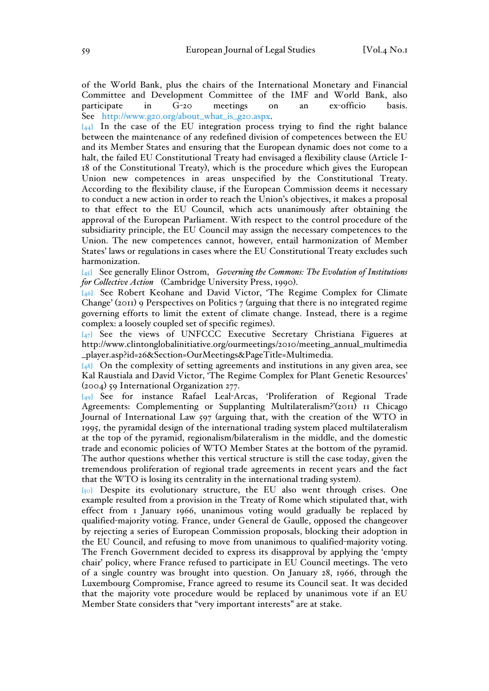of the World Bank, plus the chairs of the International Monetary and Financial Committee and Development Committee of the IMF and World Bank, also participate in G-20 meetings on an ex-officio basis. See http://www.g20.org/about\_what\_is\_g20.aspx.

[44] In the case of the EU integration process trying to find the right balance between the maintenance of any redefined division of competences between the EU and its Member States and ensuring that the European dynamic does not come to a halt, the failed EU Constitutional Treaty had envisaged a flexibility clause (Article I-18 of the Constitutional Treaty), which is the procedure which gives the European Union new competences in areas unspecified by the Constitutional Treaty. According to the flexibility clause, if the European Commission deems it necessary to conduct a new action in order to reach the Union's objectives, it makes a proposal to that effect to the EU Council, which acts unanimously after obtaining the approval of the European Parliament. With respect to the control procedure of the subsidiarity principle, the EU Council may assign the necessary competences to the Union. The new competences cannot, however, entail harmonization of Member States' laws or regulations in cases where the EU Constitutional Treaty excludes such harmonization.

[45] See generally Elinor Ostrom, *Governing the Commons: The Evolution of Institutions for Collective Action* (Cambridge University Press, 1990).

[46] See Robert Keohane and David Victor, 'The Regime Complex for Climate Change' (2011) 9 Perspectives on Politics 7 (arguing that there is no integrated regime governing efforts to limit the extent of climate change. Instead, there is a regime complex: a loosely coupled set of specific regimes).

[47] See the views of UNFCCC Executive Secretary Christiana Figueres at http://www.clintonglobalinitiative.org/ourmeetings/2010/meeting\_annual\_multimedia \_player.asp?id=26&Section=OurMeetings&PageTitle=Multimedia.

[48] On the complexity of setting agreements and institutions in any given area, see Kal Raustiala and David Victor, 'The Regime Complex for Plant Genetic Resources' (2004) 59 International Organization 277.

[49] See for instance Rafael Leal-Arcas, 'Proliferation of Regional Trade Agreements: Complementing or Supplanting Multilateralism?'(2011) II Chicago Journal of International Law 597 (arguing that, with the creation of the WTO in 1995, the pyramidal design of the international trading system placed multilateralism at the top of the pyramid, regionalism/bilateralism in the middle, and the domestic trade and economic policies of WTO Member States at the bottom of the pyramid. The author questions whether this vertical structure is still the case today, given the tremendous proliferation of regional trade agreements in recent years and the fact that the WTO is losing its centrality in the international trading system).

 $\begin{bmatrix} \overline{\text{50}} \\ \overline{\text{50}} \end{bmatrix}$  Despite its evolutionary structure, the EU also went through crises. One example resulted from a provision in the Treaty of Rome which stipulated that, with effect from 1 January 1966, unanimous voting would gradually be replaced by qualified-majority voting. France, under General de Gaulle, opposed the changeover by rejecting a series of European Commission proposals, blocking their adoption in the EU Council, and refusing to move from unanimous to qualified-majority voting. The French Government decided to express its disapproval by applying the 'empty chair' policy, where France refused to participate in EU Council meetings. The veto of a single country was brought into question. On January 28, 1966, through the Luxembourg Compromise, France agreed to resume its Council seat. It was decided that the majority vote procedure would be replaced by unanimous vote if an EU Member State considers that "very important interests" are at stake.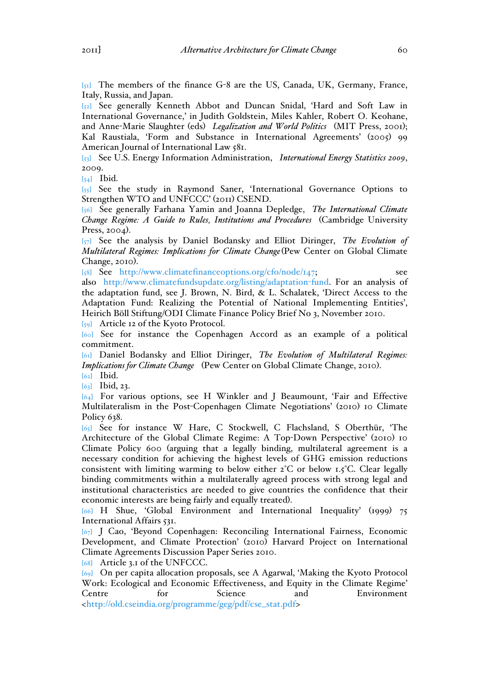$\lbrack \xi x \rbrack$  The members of the finance G-8 are the US, Canada, UK, Germany, France, Italy, Russia, and Japan.

[52] See generally Kenneth Abbot and Duncan Snidal, 'Hard and Soft Law in International Governance,' in Judith Goldstein, Miles Kahler, Robert O. Keohane, and Anne-Marie Slaughter (eds) *Legalization and World Politics* (MIT Press, 2001); Kal Raustiala, 'Form and Substance in International Agreements' (2005) 99 American Journal of International Law 581.

[53] See U.S. Energy Information Administration, *International Energy Statistics 2009*, 2009.

 $[54]$  Ibid.

[55] See the study in Raymond Saner, 'International Governance Options to Strengthen WTO and UNFCCC' (2011) CSEND.

[56] See generally Farhana Yamin and Joanna Depledge, *The International Climate Change Regime: A Guide to Rules, Institutions and Procedures* (Cambridge University Press, 2004).

[57] See the analysis by Daniel Bodansky and Elliot Diringer, *The Evolution of Multilateral Regimes: Implications for Climate Change*(Pew Center on Global Climate Change, 2010).

 $[58]$  See http://www.climatefinanceoptions.org/cfo/node/147; see also http://www.climatefundsupdate.org/listing/adaptation-fund. For an analysis of the adaptation fund, see J. Brown, N. Bird, & L. Schalatek, 'Direct Access to the

Adaptation Fund: Realizing the Potential of National Implementing Entities', Heirich Böll Stiftung/ODI Climate Finance Policy Brief No 3, November 2010.

[59] Article 12 of the Kyoto Protocol.

[60] See for instance the Copenhagen Accord as an example of a political commitment.

[61] Daniel Bodansky and Elliot Diringer, *The Evolution of Multilateral Regimes: Implications for Climate Change* (Pew Center on Global Climate Change, 2010).

[62] Ibid.

[63] Ibid, 23.

[64] For various options, see H Winkler and J Beaumount, 'Fair and Effective Multilateralism in the Post-Copenhagen Climate Negotiations' (2010) 10 Climate Policy 638.

[65] See for instance W Hare, C Stockwell, C Flachsland, S Oberthür, 'The Architecture of the Global Climate Regime: A Top-Down Perspective' (2010) 10 Climate Policy 600 (arguing that a legally binding, multilateral agreement is a necessary condition for achieving the highest levels of GHG emission reductions consistent with limiting warming to below either  $2^{\circ}$ C or below 1.5°C. Clear legally binding commitments within a multilaterally agreed process with strong legal and institutional characteristics are needed to give countries the confidence that their economic interests are being fairly and equally treated).

[66] H Shue, 'Global Environment and International Inequality' (1999) 75 International Affairs 531.

[67] J Cao, 'Beyond Copenhagen: Reconciling International Fairness, Economic Development, and Climate Protection' (2010) Harvard Project on International Climate Agreements Discussion Paper Series 2010.

[68] Article 3.1 of the UNFCCC.

[69] On per capita allocation proposals, see A Agarwal, 'Making the Kyoto Protocol Work: Ecological and Economic Effectiveness, and Equity in the Climate Regime' Centre for Science and Environment <http://old.cseindia.org/programme/geg/pdf/cse\_stat.pdf>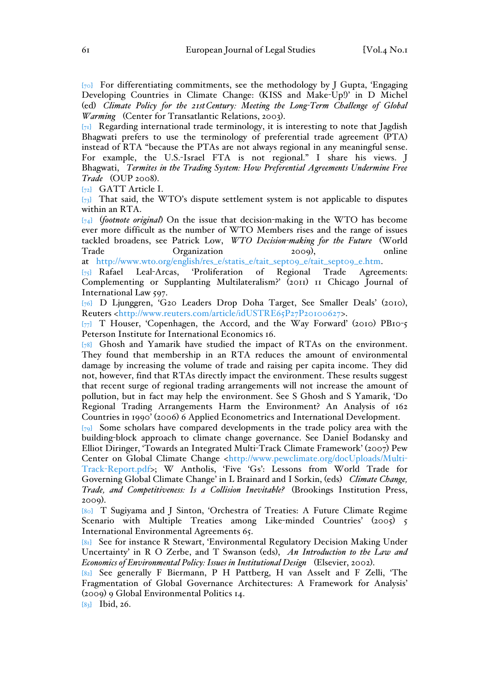[70] For differentiating commitments, see the methodology by J Gupta, 'Engaging Developing Countries in Climate Change: (KISS and Make-Up!)' in D Michel (ed) *Climate Policy for the 21stCentury: Meeting the Long-Term Challenge of Global Warming* (Center for Transatlantic Relations, 2003).

 $\lbrack \tau_1 \rbrack$  Regarding international trade terminology, it is interesting to note that Jagdish Bhagwati prefers to use the terminology of preferential trade agreement (PTA) instead of RTA "because the PTAs are not always regional in any meaningful sense. For example, the U.S.-Israel FTA is not regional." I share his views. J Bhagwati, *Termites in the Trading System: How Preferential Agreements Undermine Free Trade* (OUP 2008).

[72] GATT Article I.

[73] That said, the WTO's dispute settlement system is not applicable to disputes within an RTA.

[74] (*footnote original*) On the issue that decision-making in the WTO has become ever more difficult as the number of WTO Members rises and the range of issues tackled broadens, see Patrick Low, *WTO Decision-making for the Future* (World Trade Crganization 2009), online

at http://www.wto.org/english/res\_e/statis\_e/tait\_sept09\_e/tait\_sept09\_e.htm.

[75] Rafael Leal-Arcas, 'Proliferation of Regional Trade Agreements: Complementing or Supplanting Multilateralism?' (2011) 11 Chicago Journal of International Law 597.

[76] D Ljunggren, 'G20 Leaders Drop Doha Target, See Smaller Deals' (2010), Reuters <http://www.reuters.com/article/idUSTRE65P27P20100627>.

[77] T Houser, 'Copenhagen, the Accord, and the Way Forward' (2010) PB10-5 Peterson Institute for International Economics 16.

[78] Ghosh and Yamarik have studied the impact of RTAs on the environment. They found that membership in an RTA reduces the amount of environmental damage by increasing the volume of trade and raising per capita income. They did not, however, find that RTAs directly impact the environment. These results suggest that recent surge of regional trading arrangements will not increase the amount of pollution, but in fact may help the environment. See S Ghosh and S Yamarik, 'Do Regional Trading Arrangements Harm the Environment? An Analysis of 162 Countries in 1990' (2006) 6 Applied Econometrics and International Development.

[79] Some scholars have compared developments in the trade policy area with the building-block approach to climate change governance. See Daniel Bodansky and Elliot Diringer, 'Towards an Integrated Multi-Track Climate Framework' (2007) Pew Center on Global Climate Change <http://www.pewclimate.org/docUploads/Multi-Track-Report.pdf>; W Antholis, 'Five 'Gs': Lessons from World Trade for Governing Global Climate Change' in L Brainard and I Sorkin, (eds) *Climate Change, Trade, and Competitiveness: Is a Collision Inevitable?* (Brookings Institution Press, 2009).

[80] T Sugiyama and J Sinton, 'Orchestra of Treaties: A Future Climate Regime Scenario with Multiple Treaties among Like-minded Countries' (2005) 5 International Environmental Agreements 65.

[81] See for instance R Stewart, 'Environmental Regulatory Decision Making Under Uncertainty' in R O Zerbe, and T Swanson (eds), *An Introduction to the Law and Economics of Environmental Policy: Issues in Institutional Design* (Elsevier, 2002).

[82] See generally F Biermann, P H Pattberg, H van Asselt and F Zelli, 'The Fragmentation of Global Governance Architectures: A Framework for Analysis' (2009) 9 Global Environmental Politics 14.

[83] Ibid, 26.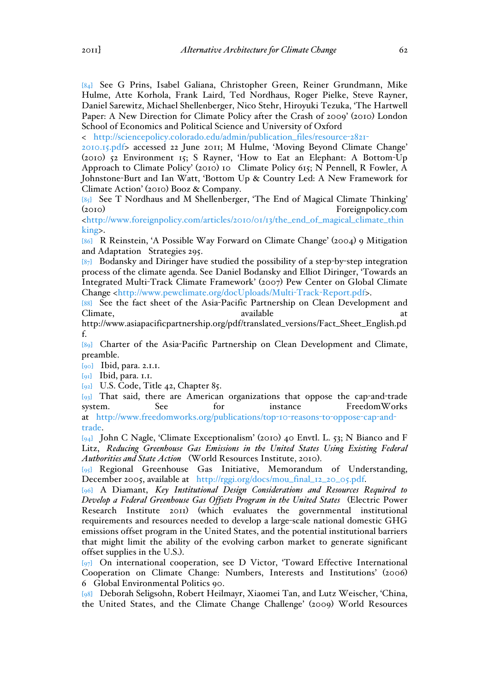[84] See G Prins, Isabel Galiana, Christopher Green, Reiner Grundmann, Mike Hulme, Atte Korhola, Frank Laird, Ted Nordhaus, Roger Pielke, Steve Rayner, Daniel Sarewitz, Michael Shellenberger, Nico Stehr, Hiroyuki Tezuka, 'The Hartwell Paper: A New Direction for Climate Policy after the Crash of 2009' (2010) London School of Economics and Political Science and University of Oxford

< http://sciencepolicy.colorado.edu/admin/publication\_files/resource-2821-

2010.15.pdf> accessed 22 June 2011; M Hulme, 'Moving Beyond Climate Change' (2010) 52 Environment 15; S Rayner, 'How to Eat an Elephant: A Bottom-Up Approach to Climate Policy' (2010) 10 Climate Policy 615; N Pennell, R Fowler, A Johnstone-Burt and Ian Watt, 'Bottom Up & Country Led: A New Framework for Climate Action' (2010) Booz & Company.

[85] See T Nordhaus and M Shellenberger, 'The End of Magical Climate Thinking' (2010) Foreignpolicy.com

<http://www.foreignpolicy.com/articles/2010/01/13/the\_end\_of\_magical\_climate\_thin king>.

[86] R Reinstein, 'A Possible Way Forward on Climate Change' (2004) 9 Mitigation and Adaptation Strategies 295.

[87] Bodansky and Diringer have studied the possibility of a step-by-step integration process of the climate agenda. See Daniel Bodansky and Elliot Diringer, 'Towards an Integrated Multi-Track Climate Framework' (2007) Pew Center on Global Climate Change <http://www.pewclimate.org/docUploads/Multi-Track-Report.pdf>.

[88] See the fact sheet of the Asia-Pacific Partnership on Clean Development and Climate, available available at the set of  $\alpha$ 

http://www.asiapacificpartnership.org/pdf/translated\_versions/Fact\_Sheet\_English.pd f.

[89] Charter of the Asia-Pacific Partnership on Clean Development and Climate, preamble.

[90] Ibid, para. 2.1.1.

[91] Ibid, para. 1.1.

 $[92]$  U.S. Code, Title 42, Chapter 85.

[93] That said, there are American organizations that oppose the cap-and-trade system. See for instance FreedomWorks at http://www.freedomworks.org/publications/top-10-reasons-to-oppose-cap-andtrade.

[94] John C Nagle, 'Climate Exceptionalism' (2010) 40 Envtl. L. 53; N Bianco and F Litz, *Reducing Greenhouse Gas Emissions in the United States Using Existing Federal Authorities and State Action* (World Resources Institute, 2010).

[95] Regional Greenhouse Gas Initiative, Memorandum of Understanding, December 2005, available at http://rggi.org/docs/mou\_final\_12\_20\_05.pdf.

[96] A Diamant, *Key Institutional Design Considerations and Resources Required to Develop a Federal Greenhouse Gas Offsets Program in the United States* (Electric Power Research Institute 2011) (which evaluates the governmental institutional requirements and resources needed to develop a large-scale national domestic GHG emissions offset program in the United States, and the potential institutional barriers that might limit the ability of the evolving carbon market to generate significant offset supplies in the U.S.).

[97] On international cooperation, see D Victor, 'Toward Effective International Cooperation on Climate Change: Numbers, Interests and Institutions' (2006) 6 Global Environmental Politics 90.

[98] Deborah Seligsohn, Robert Heilmayr, Xiaomei Tan, and Lutz Weischer, 'China, the United States, and the Climate Change Challenge' (2009) World Resources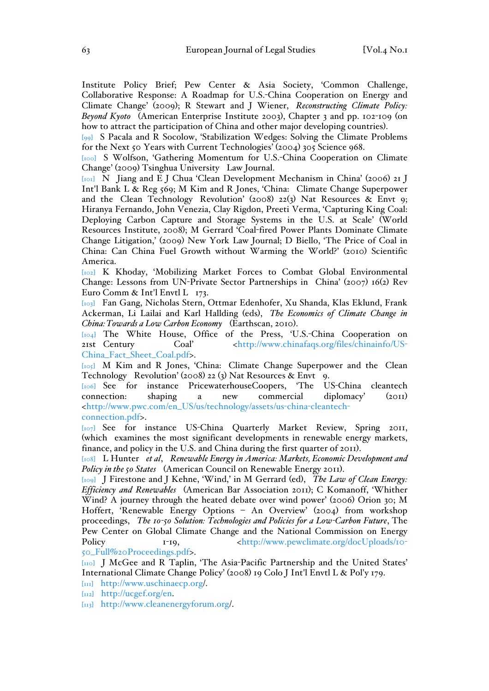Institute Policy Brief; Pew Center & Asia Society, 'Common Challenge, Collaborative Response: A Roadmap for U.S.-China Cooperation on Energy and Climate Change' (2009); R Stewart and J Wiener, *Reconstructing Climate Policy: Beyond Kyoto* (American Enterprise Institute 2003), Chapter 3 and pp. 102-109 (on how to attract the participation of China and other major developing countries).

[99] S Pacala and R Socolow, 'Stabilization Wedges: Solving the Climate Problems for the Next 50 Years with Current Technologies' (2004) 305 Science 968.

[100] S Wolfson, 'Gathering Momentum for U.S.-China Cooperation on Climate Change' (2009) Tsinghua University Law Journal.

[101] N Jiang and E J Chua 'Clean Development Mechanism in China' (2006) 21 J Int'l Bank L & Reg 569; M Kim and R Jones, 'China: Climate Change Superpower and the Clean Technology Revolution' (2008) 22(3) Nat Resources & Envt 9; Hiranya Fernando, John Venezia, Clay Rigdon, Preeti Verma, 'Capturing King Coal: Deploying Carbon Capture and Storage Systems in the U.S. at Scale' (World Resources Institute, 2008); M Gerrard 'Coal-fired Power Plants Dominate Climate Change Litigation,' (2009) New York Law Journal; D Biello, 'The Price of Coal in China: Can China Fuel Growth without Warming the World?' (2010) Scientific America.

[102] K Khoday, 'Mobilizing Market Forces to Combat Global Environmental Change: Lessons from UN-Private Sector Partnerships in China' (2007) 16(2) Rev Euro Comm & Int'l Envtl L 173.

[103] Fan Gang, Nicholas Stern, Ottmar Edenhofer, Xu Shanda, Klas Eklund, Frank Ackerman, Li Lailai and Karl Hallding (eds), *The Economics of Climate Change in China:Towards a Low Carbon Economy* (Earthscan, 2010).

[104] The White House, Office of the Press, 'U.S.-China Cooperation on 21st Century Coal' <http://www.chinafaqs.org/files/chinainfo/US-China\_Fact\_Sheet\_Coal.pdf>.

[105] M Kim and R Jones, 'China: Climate Change Superpower and the Clean Technology Revolution' (2008) 22 (3) Nat Resources & Envt 9.

[106] See for instance PricewaterhouseCoopers, 'The US-China cleantech connection: shaping a new commercial diplomacy' (2011) <http://www.pwc.com/en\_US/us/technology/assets/us-china-cleantechconnection.pdf>.

[107] See for instance US-China Quarterly Market Review, Spring 2011, (which examines the most significant developments in renewable energy markets, finance, and policy in the U.S. and China during the first quarter of 2011).

[108] L Hunter *et al*, *Renewable Energy in America: Markets, Economic Development and Policy in the 50 States* (American Council on Renewable Energy 2011).

[109] J Firestone and J Kehne, 'Wind,' in M Gerrard (ed), *The Law of Clean Energy: Efficiency and Renewables* (American Bar Association 2011); C Komanoff, 'Whither Wind? A journey through the heated debate over wind power' (2006) Orion 30; M Hoffert, 'Renewable Energy Options – An Overview' (2004) from workshop proceedings, *The 10-50 Solution: Technologies and Policies for a Low-Carbon Future*, The Pew Center on Global Climate Change and the National Commission on Energy Policy 1-19, 1-19, http://www.pewclimate.org/docUploads/10-50\_Full%20Proceedings.pdf>.

[110] J McGee and R Taplin, 'The Asia-Pacific Partnership and the United States' International Climate Change Policy' (2008) 19 Colo J Int'l Envtl L & Pol'y 179.

[III] http://www.uschinaecp.org/.

[112] http://ucgef.org/en.

[113] http://www.cleanenergyforum.org/.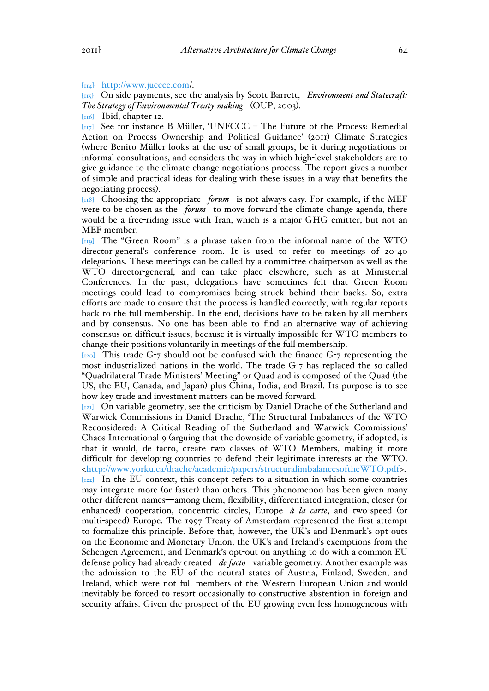#### [114] http://www.juccce.com/.

[115] On side payments, see the analysis by Scott Barrett, *Environment and Statecraft: The Strategy of Environmental Treaty-making* (OUP, 2003).

[ $116$ ] Ibid, chapter 12.

 $\left[\frac{1}{2}I_{17}\right]$  See for instance B Müller, 'UNFCCC – The Future of the Process: Remedial Action on Process Ownership and Political Guidance' (2011) Climate Strategies (where Benito Müller looks at the use of small groups, be it during negotiations or informal consultations, and considers the way in which high-level stakeholders are to give guidance to the climate change negotiations process. The report gives a number of simple and practical ideas for dealing with these issues in a way that benefits the negotiating process).

[118] Choosing the appropriate *forum* is not always easy. For example, if the MEF were to be chosen as the *forum* to move forward the climate change agenda, there would be a free-riding issue with Iran, which is a major GHG emitter, but not an MEF member.

[119] The "Green Room" is a phrase taken from the informal name of the WTO director-general's conference room. It is used to refer to meetings of 20-40 delegations. These meetings can be called by a committee chairperson as well as the WTO director-general, and can take place elsewhere, such as at Ministerial Conferences. In the past, delegations have sometimes felt that Green Room meetings could lead to compromises being struck behind their backs. So, extra efforts are made to ensure that the process is handled correctly, with regular reports back to the full membership. In the end, decisions have to be taken by all members and by consensus. No one has been able to find an alternative way of achieving consensus on difficult issues, because it is virtually impossible for WTO members to change their positions voluntarily in meetings of the full membership.

 $\begin{bmatrix} 1 & 0 \\ 0 & 0 \end{bmatrix}$  This trade G-7 should not be confused with the finance G-7 representing the most industrialized nations in the world. The trade G-7 has replaced the so-called "Quadrilateral Trade Ministers' Meeting" or Quad and is composed of the Quad (the US, the EU, Canada, and Japan) plus China, India, and Brazil. Its purpose is to see how key trade and investment matters can be moved forward.

[121] On variable geometry, see the criticism by Daniel Drache of the Sutherland and Warwick Commissions in Daniel Drache, 'The Structural Imbalances of the WTO Reconsidered: A Critical Reading of the Sutherland and Warwick Commissions' Chaos International 9 (arguing that the downside of variable geometry, if adopted, is that it would, de facto, create two classes of WTO Members, making it more difficult for developing countries to defend their legitimate interests at the WTO. <http://www.yorku.ca/drache/academic/papers/structuralimbalancesoftheWTO.pdf>. [122] In the EU context, this concept refers to a situation in which some countries may integrate more (or faster) than others. This phenomenon has been given many other different names—among them, flexibility, differentiated integration, closer (or enhanced) cooperation, concentric circles, Europe *à la carte*, and two-speed (or multi-speed) Europe. The 1997 Treaty of Amsterdam represented the first attempt to formalize this principle. Before that, however, the UK's and Denmark's opt-outs on the Economic and Monetary Union, the UK's and Ireland's exemptions from the Schengen Agreement, and Denmark's opt-out on anything to do with a common EU defense policy had already created *de facto* variable geometry. Another example was the admission to the EU of the neutral states of Austria, Finland, Sweden, and Ireland, which were not full members of the Western European Union and would inevitably be forced to resort occasionally to constructive abstention in foreign and security affairs. Given the prospect of the EU growing even less homogeneous with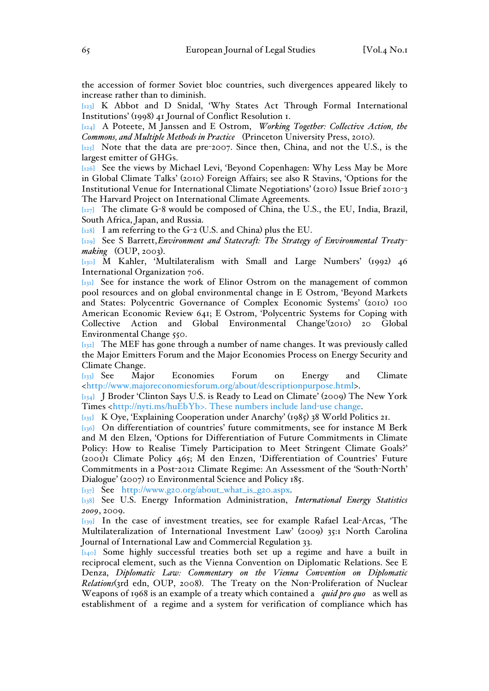the accession of former Soviet bloc countries, such divergences appeared likely to increase rather than to diminish.

[123] K Abbot and D Snidal, 'Why States Act Through Formal International Institutions' (1998) 41 Journal of Conflict Resolution 1.

[124] A Poteete, M Janssen and E Ostrom, *Working Together: Collective Action, the Commons, and Multiple Methods in Practice* (Princeton University Press, 2010).

 $\begin{bmatrix} 1 & 2 \\ 2 & 3 \end{bmatrix}$  Note that the data are pre-2007. Since then, China, and not the U.S., is the largest emitter of GHGs.

[126] See the views by Michael Levi, 'Beyond Copenhagen: Why Less May be More in Global Climate Talks' (2010) Foreign Affairs; see also R Stavins, 'Options for the Institutional Venue for International Climate Negotiations' (2010) Issue Brief 2010-3 The Harvard Project on International Climate Agreements.

 $\begin{bmatrix} 1 & 2 \\ 1 & 2 \end{bmatrix}$  The climate G-8 would be composed of China, the U.S., the EU, India, Brazil, South Africa, Japan, and Russia.

[128] I am referring to the G-2 (U.S. and China) plus the EU.

[129] See S Barrett,*Environment and Statecraft: The Strategy of Environmental Treatymaking* (OUP, 2003).

[130] M Kahler, 'Multilateralism with Small and Large Numbers' (1992) 46 International Organization 706.

[131] See for instance the work of Elinor Ostrom on the management of common pool resources and on global environmental change in E Ostrom, 'Beyond Markets and States: Polycentric Governance of Complex Economic Systems' (2010) 100 American Economic Review 641; E Ostrom, 'Polycentric Systems for Coping with Collective Action and Global Environmental Change'(2010) 20 Global Environmental Change 550.

[132] The MEF has gone through a number of name changes. It was previously called the Major Emitters Forum and the Major Economies Process on Energy Security and Climate Change.

[133] See Major Economies Forum on Energy and Climate <http://www.majoreconomiesforum.org/about/descriptionpurpose.html>.

[134] J Broder 'Clinton Says U.S. is Ready to Lead on Climate' (2009) The New York Times <http://nyti.ms/huEbYb>. These numbers include land-use change.

[135] K Oye, 'Explaining Cooperation under Anarchy' (1985) 38 World Politics 21.

[136] On differentiation of countries' future commitments, see for instance M Berk and M den Elzen, 'Options for Differentiation of Future Commitments in Climate Policy: How to Realise Timely Participation to Meet Stringent Climate Goals?' (2001)1 Climate Policy 465; M den Enzen, 'Differentiation of Countries' Future Commitments in a Post-2012 Climate Regime: An Assessment of the 'South-North' Dialogue' (2007) 10 Environmental Science and Policy 185.

[137] See http://www.g20.org/about\_what\_is\_g20.aspx.

[138] See U.S. Energy Information Administration, *International Energy Statistics 2009*, 2009.

[139] In the case of investment treaties, see for example Rafael Leal-Arcas, 'The Multilateralization of International Investment Law' (2009) 35:1 North Carolina Journal of International Law and Commercial Regulation 33.

[140] Some highly successful treaties both set up a regime and have a built in reciprocal element, such as the Vienna Convention on Diplomatic Relations. See E Denza, *Diplomatic Law: Commentary on the Vienna Convention on Diplomatic Relations*(3rd edn, OUP, 2008). The Treaty on the Non-Proliferation of Nuclear Weapons of 1968 is an example of a treaty which contained a *quid pro quo* as well as establishment of a regime and a system for verification of compliance which has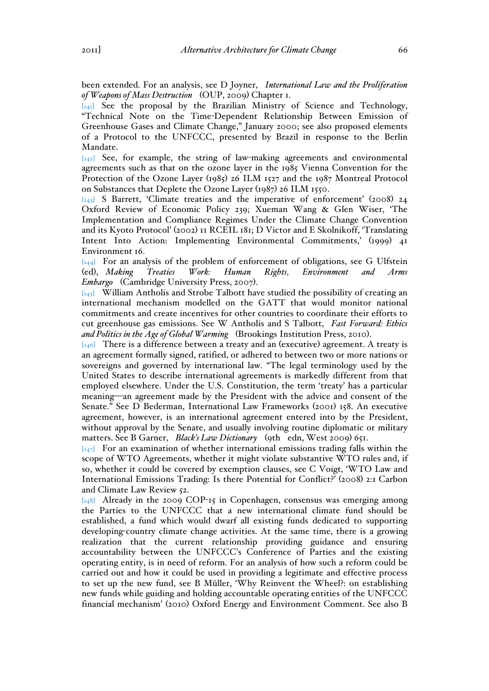been extended. For an analysis, see D Joyner, *International Law and the Proliferation of Weapons of Mass Destruction* (OUP, 2009) Chapter 1.

[141] See the proposal by the Brazilian Ministry of Science and Technology, "Technical Note on the Time-Dependent Relationship Between Emission of Greenhouse Gases and Climate Change," January 2000; see also proposed elements of a Protocol to the UNFCCC, presented by Brazil in response to the Berlin Mandate.

[142] See, for example, the string of law-making agreements and environmental agreements such as that on the ozone layer in the 1985 Vienna Convention for the Protection of the Ozone Layer (1985) 26 ILM 1527 and the 1987 Montreal Protocol on Substances that Deplete the Ozone Layer (1987) 26 ILM 1550.

[143] S Barrett, 'Climate treaties and the imperative of enforcement' (2008) 24 Oxford Review of Economic Policy 239; Xueman Wang & Glen Wiser, 'The Implementation and Compliance Regimes Under the Climate Change Convention and its Kyoto Protocol' (2002) 11 RCEIL 181; D Victor and E Skolnikoff, 'Translating Intent Into Action: Implementing Environmental Commitments,' (1999) 41 Environment 16.

[144] For an analysis of the problem of enforcement of obligations, see G Ulfstein (ed), *Making Treaties Work: Human Rights, Environment and Arms Embargo* (Cambridge University Press, 2007).

 $[t_{45}]$  William Antholis and Strobe Talbott have studied the possibility of creating an international mechanism modelled on the GATT that would monitor national commitments and create incentives for other countries to coordinate their efforts to cut greenhouse gas emissions. See W Antholis and S Talbott, *Fast Forward: Ethics and Politics in the Age of Global Warming* (Brookings Institution Press, 2010).

 $[t_{46}]$  There is a difference between a treaty and an (executive) agreement. A treaty is an agreement formally signed, ratified, or adhered to between two or more nations or sovereigns and governed by international law. "The legal terminology used by the United States to describe international agreements is markedly different from that employed elsewhere. Under the U.S. Constitution, the term 'treaty' has a particular meaning—an agreement made by the President with the advice and consent of the Senate." See D Bederman, International Law Frameworks (2001) 158. An executive agreement, however, is an international agreement entered into by the President, without approval by the Senate, and usually involving routine diplomatic or military matters. See B Garner, *Black's Law Dictionary* (9th edn, West 2009) 651.

[147] For an examination of whether international emissions trading falls within the scope of WTO Agreements, whether it might violate substantive WTO rules and, if so, whether it could be covered by exemption clauses, see C Voigt, 'WTO Law and International Emissions Trading: Is there Potential for Conflict?' (2008) 2:1 Carbon and Climate Law Review 52.

[148] Already in the 2009 COP-15 in Copenhagen, consensus was emerging among the Parties to the UNFCCC that a new international climate fund should be established, a fund which would dwarf all existing funds dedicated to supporting developing-country climate change activities. At the same time, there is a growing realization that the current relationship providing guidance and ensuring accountability between the UNFCCC's Conference of Parties and the existing operating entity, is in need of reform. For an analysis of how such a reform could be carried out and how it could be used in providing a legitimate and effective process to set up the new fund, see B Müller, 'Why Reinvent the Wheel?: on establishing new funds while guiding and holding accountable operating entities of the UNFCCC financial mechanism' (2010) Oxford Energy and Environment Comment. See also B